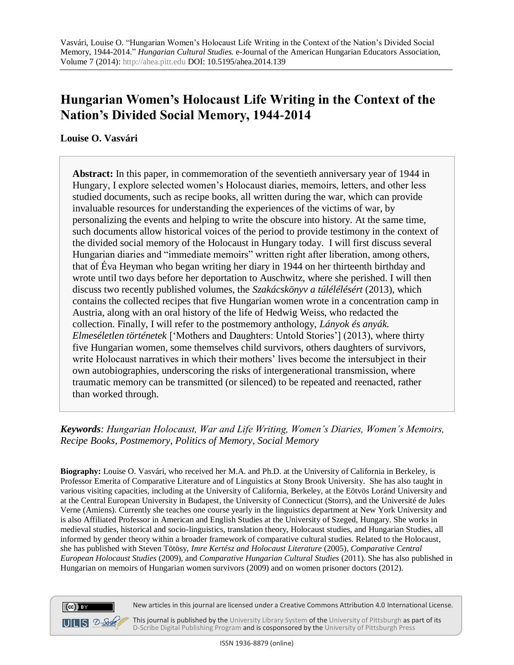# **Hungarian Women's Holocaust Life Writing in the Context of the Nation's Divided Social Memory, 1944-2014**

**Louise O. Vasvári**

**Abstract:** In this paper, in commemoration of the seventieth anniversary year of 1944 in Hungary, I explore selected women's Holocaust diaries, memoirs, letters, and other less studied documents, such as recipe books, all written during the war, which can provide invaluable resources for understanding the experiences of the victims of war, by personalizing the events and helping to write the obscure into history. At the same time, such documents allow historical voices of the period to provide testimony in the context of the divided social memory of the Holocaust in Hungary today. I will first discuss several Hungarian diaries and "immediate memoirs" written right after liberation, among others, that of Éva Heyman who began writing her diary in 1944 on her thirteenth birthday and wrote until two days before her deportation to Auschwitz, where she perished. I will then discuss two recently published volumes, the *Szakácskönyv a túlélélésért* (2013), which contains the collected recipes that five Hungarian women wrote in a concentration camp in Austria, along with an oral history of the life of Hedwig Weiss, who redacted the collection. Finally, I will refer to the postmemory anthology, *Lányok és anyák. Elmeséletlen történetek* ['Mothers and Daughters: Untold Stories'] (2013), where thirty five Hungarian women, some themselves child survivors, others daughters of survivors, write Holocaust narratives in which their mothers' lives become the intersubject in their own autobiographies, underscoring the risks of intergenerational transmission, where traumatic memory can be transmitted (or silenced) to be repeated and reenacted, rather than worked through.

*Keywords: Hungarian Holocaust, War and Life Writing, Women's Diaries, Women's Memoirs, Recipe Books, Postmemory, Politics of Memory, Social Memory*

**Biography:** Louise O. Vasvári, who received her M.A. and Ph.D. at the University of California in Berkeley, is Professor Emerita of Comparative Literature and of Linguistics at Stony Brook University. She has also taught in various visiting capacities, including at the University of California, Berkeley, at the Eötvös Loránd University and at the Central European University in Budapest, the University of Connecticut (Storrs), and the Université de Jules Verne (Amiens). Currently she teaches one course yearly in the linguistics department at New York University and is also Affiliated Professor in American and English Studies at the University of Szeged, Hungary. She works in medieval studies, historical and socio-linguistics, translation theory, Holocaust studies, and Hungarian Studies, all informed by gender theory within a broader framework of comparative cultural studies. Related to the Holocaust, she has published with Steven Tötösy, *Imre Kertész and Holocaust Literature* (2005), *Comparative Central European Holocaust Studies* (2009), and *Comparative Hungarian Cultural Studies* (2011). She has also published in Hungarian on memoirs of Hungarian women survivors (2009) and on women prisoner doctors (2012).





This journal is published by th[e University Library System](http://www.library.pitt.edu/) of th[e University of Pittsburgh](http://www.pitt.edu/) as part of its [D-Scribe Digital Publishing Program](http://www.library.pitt.edu/articles/digpubtype/index.html) and is cosponsored by the [University of Pittsburgh Press](http://upress.pitt.edu/)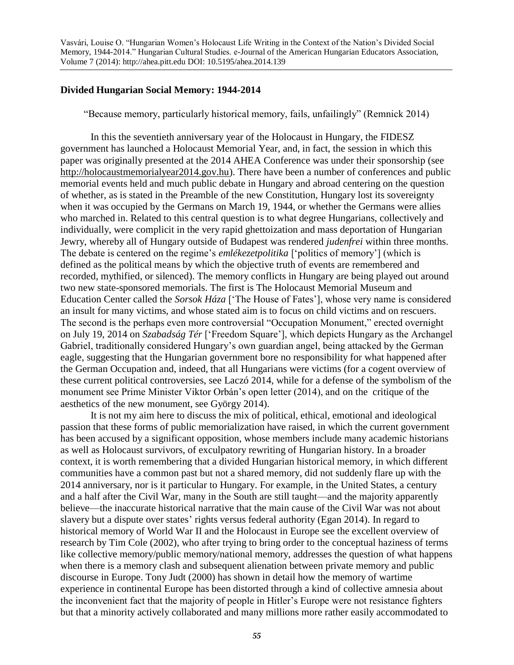### **Divided Hungarian Social Memory: 1944-2014**

"Because memory, particularly historical memory, fails, unfailingly" (Remnick 2014)

In this the seventieth anniversary year of the Holocaust in Hungary, the FIDESZ government has launched a Holocaust Memorial Year, and, in fact, the session in which this paper was originally presented at the 2014 AHEA Conference was under their sponsorship (see [http://holocaustmemorialyear2014.gov.hu\)](http://holocaustmemorialyear2014.gov.hu/). There have been a number of conferences and public memorial events held and much public debate in Hungary and abroad centering on the question of whether, as is stated in the Preamble of the new Constitution, Hungary lost its sovereignty when it was occupied by the Germans on March 19, 1944, or whether the Germans were allies who marched in. Related to this central question is to what degree Hungarians, collectively and individually, were complicit in the very rapid ghettoization and mass deportation of Hungarian Jewry, whereby all of Hungary outside of Budapest was rendered *judenfrei* within three months. The debate is centered on the regime's *emlékezetpolitika* ['politics of memory'] (which is defined as the political means by which the objective truth of events are remembered and recorded, mythified, or silenced). The memory conflicts in Hungary are being played out around two new state-sponsored memorials. The first is The Holocaust Memorial Museum and Education Center called the *Sorsok Háza* ['The House of Fates'], whose very name is considered an insult for many victims, and whose stated aim is to focus on child victims and on rescuers. The second is the perhaps even more controversial "Occupation Monument," erected overnight on July 19, 2014 on *Szabadság Tér* ['Freedom Square'], which depicts Hungary as the Archangel Gabriel, traditionally considered Hungary's own guardian angel, being attacked by the German eagle, suggesting that the Hungarian government bore no responsibility for what happened after the German Occupation and, indeed, that all Hungarians were victims (for a cogent overview of these current political controversies, see Laczó 2014, while for a defense of the symbolism of the monument see Prime Minister Viktor Orbán's open letter (2014), and on the critique of the aesthetics of the new monument, see György 2014).

It is not my aim here to discuss the mix of political, ethical, emotional and ideological passion that these forms of public memorialization have raised, in which the current government has been accused by a significant opposition, whose members include many academic historians as well as Holocaust survivors, of exculpatory rewriting of Hungarian history. In a broader context, it is worth remembering that a divided Hungarian historical memory, in which different communities have a common past but not a shared memory, did not suddenly flare up with the 2014 anniversary, nor is it particular to Hungary. For example, in the United States, a century and a half after the Civil War, many in the South are still taught—and the majority apparently believe—the inaccurate historical narrative that the main cause of the Civil War was not about slavery but a dispute over states' rights versus federal authority (Egan 2014). In regard to historical memory of World War II and the Holocaust in Europe see the excellent overview of research by Tim Cole (2002), who after trying to bring order to the conceptual haziness of terms like collective memory/public memory/national memory, addresses the question of what happens when there is a memory clash and subsequent alienation between private memory and public discourse in Europe. Tony Judt (2000) has shown in detail how the memory of wartime experience in continental Europe has been distorted through a kind of collective amnesia about the inconvenient fact that the majority of people in Hitler's Europe were not resistance fighters but that a minority actively collaborated and many millions more rather easily accommodated to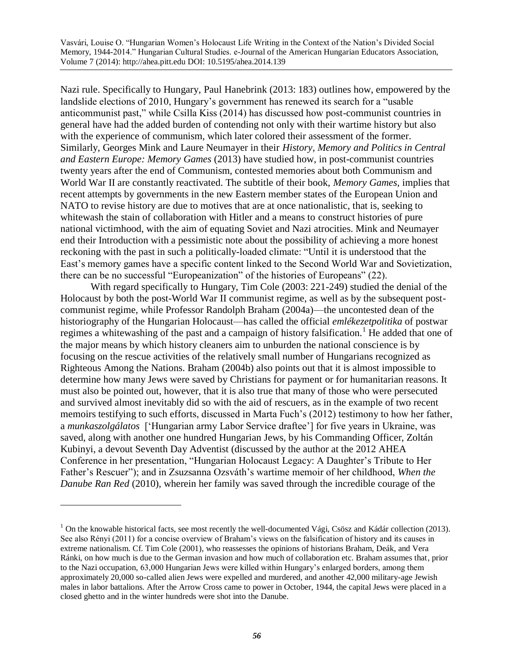Nazi rule. Specifically to Hungary, Paul Hanebrink (2013: 183) outlines how, empowered by the landslide elections of 2010, Hungary's government has renewed its search for a "usable anticommunist past," while Csilla Kiss (2014) has discussed how post-communist countries in general have had the added burden of contending not only with their wartime history but also with the experience of communism, which later colored their assessment of the former. Similarly, Georges Mink and Laure Neumayer in their *History, Memory and Politics in Central and Eastern Europe: Memory Games* (2013) have studied how, in post-communist countries twenty years after the end of Communism, contested memories about both Communism and World War II are constantly reactivated. The subtitle of their book, *Memory Games*, implies that recent attempts by governments in the new Eastern member states of the European Union and NATO to revise history are due to motives that are at once nationalistic, that is, seeking to whitewash the stain of collaboration with Hitler and a means to construct histories of pure national victimhood, with the aim of equating Soviet and Nazi atrocities. Mink and Neumayer end their Introduction with a pessimistic note about the possibility of achieving a more honest reckoning with the past in such a politically-loaded climate: "Until it is understood that the East's memory games have a specific content linked to the Second World War and Sovietization, there can be no successful "Europeanization" of the histories of Europeans" (22).

With regard specifically to Hungary, Tim Cole (2003: 221-249) studied the denial of the Holocaust by both the post-World War II communist regime, as well as by the subsequent postcommunist regime, while Professor Randolph Braham (2004a)—the uncontested dean of the historiography of the Hungarian Holocaust—has called the official *emlékezetpolitika* of postwar regimes a whitewashing of the past and a campaign of history falsification.<sup>1</sup> He added that one of the major means by which history cleaners aim to unburden the national conscience is by focusing on the rescue activities of the relatively small number of Hungarians recognized as Righteous Among the Nations. Braham (2004b) also points out that it is almost impossible to determine how many Jews were saved by Christians for payment or for humanitarian reasons. It must also be pointed out, however, that it is also true that many of those who were persecuted and survived almost inevitably did so with the aid of rescuers, as in the example of two recent memoirs testifying to such efforts, discussed in Marta Fuch's (2012) testimony to how her father, a *munkaszolgálatos* ['Hungarian army Labor Service draftee'] for five years in Ukraine, was saved, along with another one hundred Hungarian Jews, by his Commanding Officer, Zoltán Kubinyi, a devout Seventh Day Adventist (discussed by the author at the 2012 AHEA Conference in her presentation, "Hungarian Holocaust Legacy: A Daughter's Tribute to Her Father's Rescuer"); and in Zsuzsanna Ozsváth's wartime memoir of her childhood, *When the Danube Ran Red* (2010), wherein her family was saved through the incredible courage of the

 $1$  On the knowable historical facts, see most recently the well-documented Vági, Csösz and Kádár collection (2013). See also Rényi (2011) for a concise overview of Braham's views on the falsification of history and its causes in extreme nationalism. Cf. Tim Cole (2001), who reassesses the opinions of historians Braham, Deák, and Vera Ránki, on how much is due to the German invasion and how much of collaboration etc. Braham assumes that, prior to the Nazi occupation, 63,000 Hungarian Jews were killed within Hungary's enlarged borders, among them approximately 20,000 so-called alien Jews were expelled and murdered, and another 42,000 military-age Jewish males in labor battalions. After the Arrow Cross came to power in October, 1944, the capital Jews were placed in a closed ghetto and in the winter hundreds were shot into the Danube.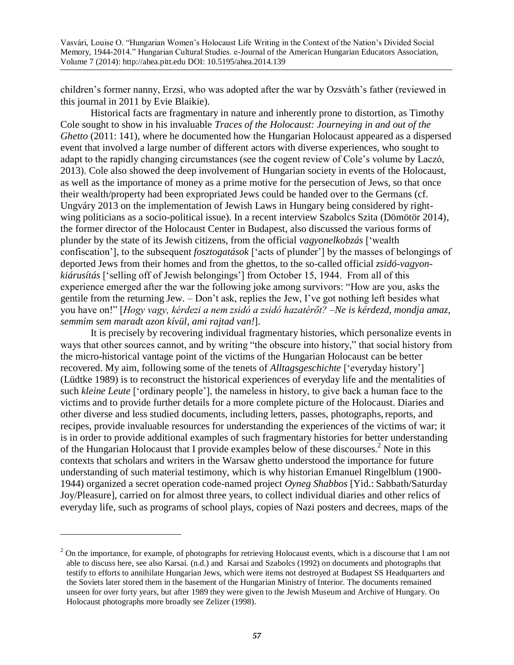children's former nanny, Erzsi, who was adopted after the war by Ozsváth's father (reviewed in this journal in 2011 by Evie Blaikie).

Historical facts are fragmentary in nature and inherently prone to distortion, as Timothy Cole sought to show in his invaluable *Traces of the Holocaust: Journeying in and out of the Ghetto* (2011: 141), where he documented how the Hungarian Holocaust appeared as a dispersed event that involved a large number of different actors with diverse experiences, who sought to adapt to the rapidly changing circumstances (see the cogent review of Cole's volume by Laczó, 2013). Cole also showed the deep involvement of Hungarian society in events of the Holocaust, as well as the importance of money as a prime motive for the persecution of Jews, so that once their wealth/property had been expropriated Jews could be handed over to the Germans (cf. Ungváry 2013 on the implementation of Jewish Laws in Hungary being considered by rightwing politicians as a socio-political issue). In a recent interview Szabolcs Szita (Dömötör 2014), the former director of the Holocaust Center in Budapest, also discussed the various forms of plunder by the state of its Jewish citizens, from the official *vagyonelkobzás* ['wealth confiscation'], to the subsequent *fosztogatások* ['acts of plunder'] by the masses of belongings of deported Jews from their homes and from the ghettos, to the so-called official *zsidó-vagyonkiárusítás* ['selling off of Jewish belongings'] from October 15, 1944. From all of this experience emerged after the war the following joke among survivors: "How are you, asks the gentile from the returning Jew. – Don't ask, replies the Jew, I've got nothing left besides what you have on!" [*Hogy vagy, kérdezi a nem zsidó a zsidó hazatérőt? –Ne is kérdezd, mondja amaz, semmim sem maradt azon kívül, ami rajtad van!*].

It is precisely by recovering individual fragmentary histories, which personalize events in ways that other sources cannot, and by writing "the obscure into history," that social history from the micro-historical vantage point of the victims of the Hungarian Holocaust can be better recovered. My aim, following some of the tenets of *Alltagsgeschichte* ['everyday history'] (Lüdtke 1989) is to reconstruct the historical experiences of everyday life and the mentalities of such *kleine Leute* ['ordinary people'], the nameless in history, to give back a human face to the victims and to provide further details for a more complete picture of the Holocaust. Diaries and other diverse and less studied documents, including letters, passes, photographs, reports, and recipes, provide invaluable resources for understanding the experiences of the victims of war; it is in order to provide additional examples of such fragmentary histories for better understanding of the Hungarian Holocaust that I provide examples below of these discourses.<sup>2</sup> Note in this contexts that scholars and writers in the Warsaw ghetto understood the importance for future understanding of such material testimony, which is why historian Emanuel Ringelblum (1900- 1944) organized a secret operation code-named project *Oyneg Shabbos* [Yid.: Sabbath/Saturday Joy/Pleasure], carried on for almost three years, to collect individual diaries and other relics of everyday life, such as programs of school plays, copies of Nazi posters and decrees, maps of the

 $2$  On the importance, for example, of photographs for retrieving Holocaust events, which is a discourse that I am not able to discuss here, see also Karsai. (n.d.) and Karsai and Szabolcs (1992) on documents and photographs that testify to efforts to annihilate Hungarian Jews, which were items not destroyed at Budapest SS Headquarters and the Soviets later stored them in the basement of the Hungarian Ministry of Interior. The documents remained unseen for over forty years, but after 1989 they were given to the Jewish Museum and Archive of Hungary. On Holocaust photographs more broadly see Zelizer (1998).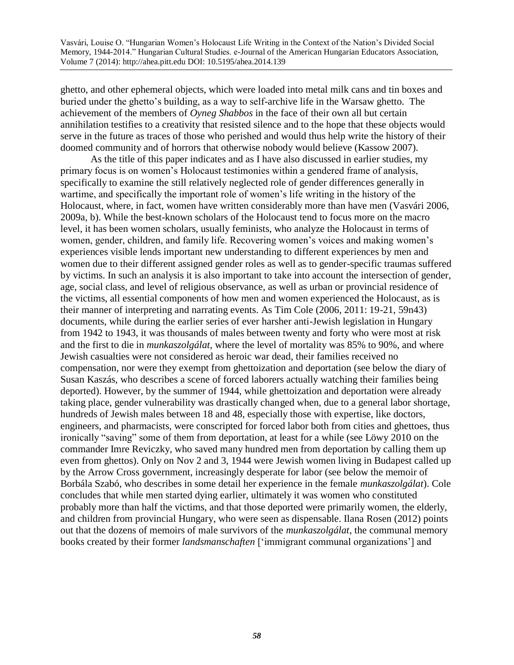ghetto, and other ephemeral objects, which were loaded into metal milk cans and tin boxes and buried under the ghetto's building, as a way to self-archive life in the Warsaw ghetto. The achievement of the members of *Oyneg Shabbos* in the face of their own all but certain annihilation testifies to a creativity that resisted silence and to the hope that these objects would serve in the future as traces of those who perished and would thus help write the history of their doomed community and of horrors that otherwise nobody would believe (Kassow 2007).

As the title of this paper indicates and as I have also discussed in earlier studies, my primary focus is on women's Holocaust testimonies within a gendered frame of analysis, specifically to examine the still relatively neglected role of gender differences generally in wartime, and specifically the important role of women's life writing in the history of the Holocaust, where, in fact, women have written considerably more than have men (Vasvári 2006, 2009a, b). While the best-known scholars of the Holocaust tend to focus more on the macro level, it has been women scholars, usually feminists, who analyze the Holocaust in terms of women, gender, children, and family life. Recovering women's voices and making women's experiences visible lends important new understanding to different experiences by men and women due to their different assigned gender roles as well as to gender-specific traumas suffered by victims. In such an analysis it is also important to take into account the intersection of gender, age, social class, and level of religious observance, as well as urban or provincial residence of the victims, all essential components of how men and women experienced the Holocaust, as is their manner of interpreting and narrating events. As Tim Cole (2006, 2011: 19-21, 59n43) documents, while during the earlier series of ever harsher anti-Jewish legislation in Hungary from 1942 to 1943, it was thousands of males between twenty and forty who were most at risk and the first to die in *munkaszolgálat,* where the level of mortality was 85% to 90%, and where Jewish casualties were not considered as heroic war dead, their families received no compensation, nor were they exempt from ghettoization and deportation (see below the diary of Susan Kaszás, who describes a scene of forced laborers actually watching their families being deported). However, by the summer of 1944, while ghettoization and deportation were already taking place, gender vulnerability was drastically changed when, due to a general labor shortage, hundreds of Jewish males between 18 and 48, especially those with expertise, like doctors, engineers, and pharmacists, were conscripted for forced labor both from cities and ghettoes, thus ironically "saving" some of them from deportation, at least for a while (see Löwy 2010 on the commander Imre Reviczky, who saved many hundred men from deportation by calling them up even from ghettos). Only on Nov 2 and 3, 1944 were Jewish women living in Budapest called up by the Arrow Cross government, increasingly desperate for labor (see below the memoir of Borbála Szabó, who describes in some detail her experience in the female *munkaszolgálat*). Cole concludes that while men started dying earlier, ultimately it was women who constituted probably more than half the victims, and that those deported were primarily women, the elderly, and children from provincial Hungary, who were seen as dispensable. Ilana Rosen (2012) points out that the dozens of memoirs of male survivors of the *munkaszolgálat*, the communal memory books created by their former *landsmanschaften* ['immigrant communal organizations'] and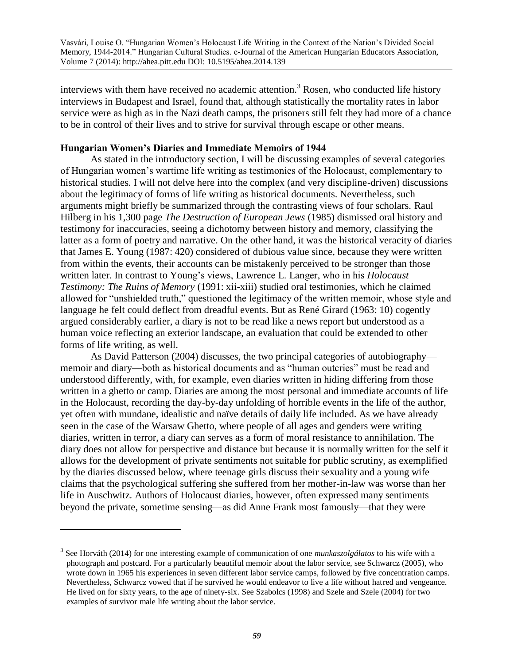interviews with them have received no academic attention.<sup>3</sup> Rosen, who conducted life history interviews in Budapest and Israel, found that, although statistically the mortality rates in labor service were as high as in the Nazi death camps, the prisoners still felt they had more of a chance to be in control of their lives and to strive for survival through escape or other means.

## **Hungarian Women's Diaries and Immediate Memoirs of 1944**

As stated in the introductory section, I will be discussing examples of several categories of Hungarian women's wartime life writing as testimonies of the Holocaust, complementary to historical studies. I will not delve here into the complex (and very discipline-driven) discussions about the legitimacy of forms of life writing as historical documents. Nevertheless, such arguments might briefly be summarized through the contrasting views of four scholars. Raul Hilberg in his 1,300 page *The Destruction of European Jews* (1985) dismissed oral history and testimony for inaccuracies, seeing a dichotomy between history and memory, classifying the latter as a form of poetry and narrative. On the other hand, it was the historical veracity of diaries that James E. Young (1987: 420) considered of dubious value since, because they were written from within the events, their accounts can be mistakenly perceived to be stronger than those written later. In contrast to Young's views, Lawrence L. Langer, who in his *Holocaust Testimony: The Ruins of Memory* (1991: xii-xiii) studied oral testimonies, which he claimed allowed for "unshielded truth," questioned the legitimacy of the written memoir, whose style and language he felt could deflect from dreadful events. But as René Girard (1963: 10) cogently argued considerably earlier, a diary is not to be read like a news report but understood as a human voice reflecting an exterior landscape, an evaluation that could be extended to other forms of life writing, as well.

As David Patterson (2004) discusses, the two principal categories of autobiography memoir and diary—both as historical documents and as "human outcries" must be read and understood differently, with, for example, even diaries written in hiding differing from those written in a ghetto or camp. Diaries are among the most personal and immediate accounts of life in the Holocaust, recording the day-by-day unfolding of horrible events in the life of the author, yet often with mundane, idealistic and naïve details of daily life included. As we have already seen in the case of the Warsaw Ghetto, where people of all ages and genders were writing diaries, written in terror, a diary can serves as a form of moral resistance to annihilation. The diary does not allow for perspective and distance but because it is normally written for the self it allows for the development of private sentiments not suitable for public scrutiny, as exemplified by the diaries discussed below, where teenage girls discuss their sexuality and a young wife claims that the psychological suffering she suffered from her mother-in-law was worse than her life in Auschwitz. Authors of Holocaust diaries, however, often expressed many sentiments beyond the private, sometime sensing—as did Anne Frank most famously—that they were

<sup>3</sup> See Horváth (2014) for one interesting example of communication of one *munkaszolgálatos* to his wife with a photograph and postcard. For a particularly beautiful memoir about the labor service, see Schwarcz (2005), who wrote down in 1965 his experiences in seven different labor service camps, followed by five concentration camps. Nevertheless, Schwarcz vowed that if he survived he would endeavor to live a life without hatred and vengeance. He lived on for sixty years, to the age of ninety-six. See Szabolcs (1998) and Szele and Szele (2004) for two examples of survivor male life writing about the labor service.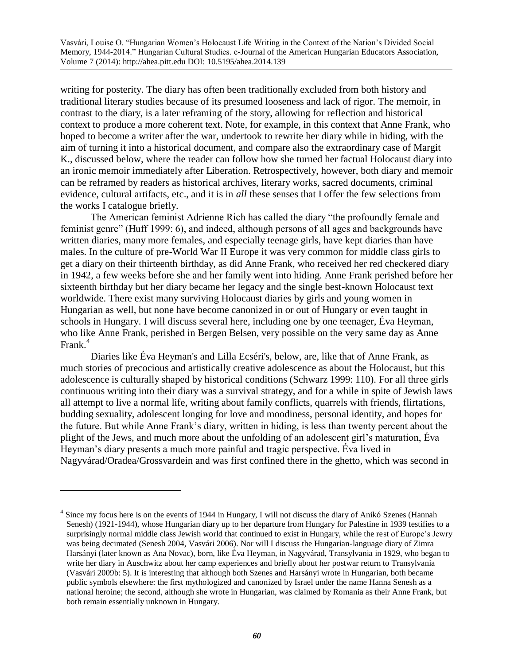writing for posterity. The diary has often been traditionally excluded from both history and traditional literary studies because of its presumed looseness and lack of rigor. The memoir, in contrast to the diary, is a later reframing of the story, allowing for reflection and historical context to produce a more coherent text. Note, for example, in this context that Anne Frank, who hoped to become a writer after the war, undertook to rewrite her diary while in hiding, with the aim of turning it into a historical document, and compare also the extraordinary case of Margit K., discussed below, where the reader can follow how she turned her factual Holocaust diary into an ironic memoir immediately after Liberation. Retrospectively, however, both diary and memoir can be reframed by readers as historical archives, literary works, sacred documents, criminal evidence, cultural artifacts, etc., and it is in *all* these senses that I offer the few selections from the works I catalogue briefly.

The American feminist Adrienne Rich has called the diary "the profoundly female and feminist genre" (Huff 1999: 6), and indeed, although persons of all ages and backgrounds have written diaries, many more females, and especially teenage girls, have kept diaries than have males. In the culture of pre-World War II Europe it was very common for middle class girls to get a diary on their thirteenth birthday, as did Anne Frank, who received her red checkered diary in 1942, a few weeks before she and her family went into hiding. Anne Frank perished before her sixteenth birthday but her diary became her legacy and the single best-known Holocaust text worldwide. There exist many surviving Holocaust diaries by girls and young women in Hungarian as well, but none have become canonized in or out of Hungary or even taught in schools in Hungary. I will discuss several here, including one by one teenager, Éva Heyman, who like Anne Frank, perished in Bergen Belsen, very possible on the very same day as Anne Frank.<sup>4</sup>

Diaries like Éva Heyman's and Lilla Ecséri's, below, are, like that of Anne Frank, as much stories of precocious and artistically creative adolescence as about the Holocaust, but this adolescence is culturally shaped by historical conditions (Schwarz 1999: 110). For all three girls continuous writing into their diary was a survival strategy, and for a while in spite of Jewish laws all attempt to live a normal life, writing about family conflicts, quarrels with friends, flirtations, budding sexuality, adolescent longing for love and moodiness, personal identity, and hopes for the future. But while Anne Frank's diary, written in hiding, is less than twenty percent about the plight of the Jews, and much more about the unfolding of an adolescent girl's maturation, Éva Heyman's diary presents a much more painful and tragic perspective. Éva lived in Nagyvárad/Oradea/Grossvardein and was first confined there in the ghetto, which was second in

<sup>&</sup>lt;sup>4</sup> Since my focus here is on the events of 1944 in Hungary, I will not discuss the diary of Anikó Szenes (Hannah Senesh) (1921-1944), whose Hungarian diary up to her departure from Hungary for Palestine in 1939 testifies to a surprisingly normal middle class Jewish world that continued to exist in Hungary, while the rest of Europe's Jewry was being decimated (Senesh 2004, Vasvári 2006). Nor will I discuss the Hungarian-language diary of Zimra Harsányi (later known as Ana Novac), born, like Éva Heyman, in Nagyvárad, Transylvania in 1929, who began to write her diary in Auschwitz about her camp experiences and briefly about her postwar return to Transylvania (Vasvári 2009b: 5). It is interesting that although both Szenes and Harsányi wrote in Hungarian, both became public symbols elsewhere: the first mythologized and canonized by Israel under the name Hanna Senesh as a national heroine; the second, although she wrote in Hungarian, was claimed by Romania as their Anne Frank, but both remain essentially unknown in Hungary.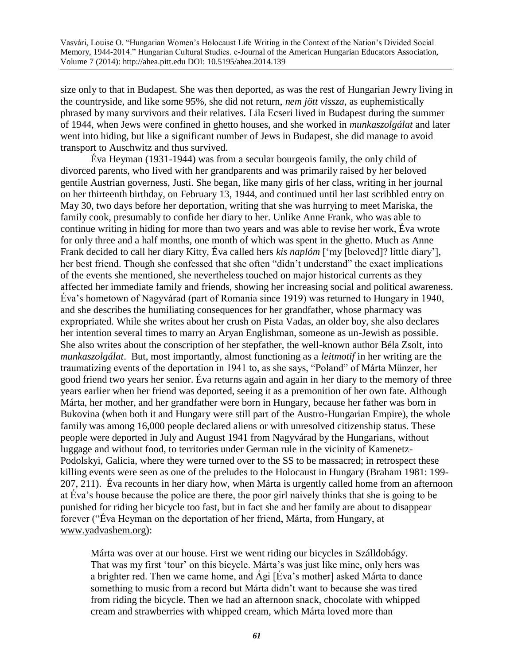size only to that in Budapest. She was then deported, as was the rest of Hungarian Jewry living in the countryside, and like some 95%, she did not return, *nem jött vissza*, as euphemistically phrased by many survivors and their relatives*.* Lila Ecseri lived in Budapest during the summer of 1944, when Jews were confined in ghetto houses, and she worked in *munkaszolgálat* and later went into hiding, but like a significant number of Jews in Budapest, she did manage to avoid transport to Auschwitz and thus survived.

Éva Heyman (1931-1944) was from a secular bourgeois family, the only child of divorced parents, who lived with her grandparents and was primarily raised by her beloved gentile Austrian governess, Justi. She began, like many girls of her class, writing in her journal on her thirteenth birthday, on February 13, 1944, and continued until her last scribbled entry on May 30, two days before her deportation, writing that she was hurrying to meet Mariska, the family cook, presumably to confide her diary to her. Unlike Anne Frank, who was able to continue writing in hiding for more than two years and was able to revise her work, Éva wrote for only three and a half months, one month of which was spent in the ghetto. Much as Anne Frank decided to call her diary Kitty, Éva called hers *kis naplóm* ['my [beloved]? little diary'], her best friend. Though she confessed that she often "didn't understand" the exact implications of the events she mentioned, she nevertheless touched on major historical currents as they affected her immediate family and friends, showing her increasing social and political awareness. Éva's hometown of Nagyvárad (part of Romania since 1919) was returned to Hungary in 1940, and she describes the humiliating consequences for her grandfather, whose pharmacy was expropriated. While she writes about her crush on Pista Vadas, an older boy, she also declares her intention several times to marry an Aryan Englishman, someone as un-Jewish as possible. She also writes about the conscription of her stepfather, the well-known author Béla Zsolt, into *munkaszolgálat*. But, most importantly, almost functioning as a *leitmotif* in her writing are the traumatizing events of the deportation in 1941 to, as she says, "Poland" of Márta Münzer, her good friend two years her senior. Éva returns again and again in her diary to the memory of three years earlier when her friend was deported, seeing it as a premonition of her own fate. Although Márta, her mother, and her grandfather were born in Hungary, because her father was born in Bukovina (when both it and Hungary were still part of the Austro-Hungarian Empire), the whole family was among 16,000 people declared aliens or with unresolved citizenship status. These people were deported in July and August 1941 from Nagyvárad by the Hungarians, without luggage and without food, to territories under German rule in the vicinity of Kamenetz-Podolskyi, Galicia, where they were turned over to the SS to be massacred; in retrospect these killing events were seen as one of the preludes to the Holocaust in Hungary (Braham 1981: 199- 207, 211). Éva recounts in her diary how, when Márta is urgently called home from an afternoon at Éva's house because the police are there, the poor girl naively thinks that she is going to be punished for riding her bicycle too fast, but in fact she and her family are about to disappear forever ("Éva Heyman on the deportation of her friend, Márta, from Hungary, at [www.yadvashem.org\)](http://www.yadvashem.org/):

Márta was over at our house. First we went riding our bicycles in Szálldobágy. That was my first 'tour' on this bicycle. Márta's was just like mine, only hers was a brighter red. Then we came home, and Ági [Éva's mother] asked Márta to dance something to music from a record but Márta didn't want to because she was tired from riding the bicycle. Then we had an afternoon snack, chocolate with whipped cream and strawberries with whipped cream, which Márta loved more than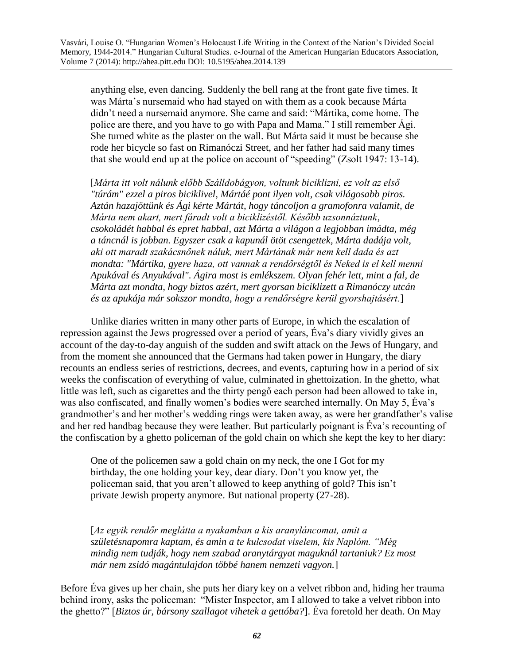anything else, even dancing. Suddenly the bell rang at the front gate five times. It was Márta's nursemaid who had stayed on with them as a cook because Márta didn't need a nursemaid anymore. She came and said: "Mártika, come home. The police are there, and you have to go with Papa and Mama." I still remember Ági. She turned white as the plaster on the wall. But Márta said it must be because she rode her bicycle so fast on Rimanóczi Street, and her father had said many times that she would end up at the police on account of "speeding" (Zsolt 1947: 13-14).

[*Márta itt volt nálunk előbb Szálldobágyon, voltunk biciklizni, ez volt az első "túrám" ezzel a piros biciklivel, Mártáé pont ilyen volt, csak világosabb piros. Aztán hazajöttünk és Ági kérte Mártát, hogy táncoljon a gramofonra valamit, de Márta nem akart, mert fáradt volt a biciklizéstől. Később uzsonnáztunk, csokoládét habbal és epret habbal, azt Márta a világon a legjobban imádta, még a táncnál is jobban. Egyszer csak a kapunál ötöt csengettek, Márta dadája volt, aki ott maradt szakácsnőnek náluk, mert Mártának már nem kell dada és azt mondta: "Mártika, gyere haza, ott vannak a rendőrségtől és Neked is el kell menni Apukával és Anyukával". Ágira most is emlékszem. Olyan fehér lett, mint a fal, de Márta azt mondta, hogy biztos azért, mert gyorsan biciklizett a Rimanóczy utcán és az apukája már sokszor mondta, hogy a rendőrségre kerül gyorshajtásért.*]

Unlike diaries written in many other parts of Europe, in which the escalation of repression against the Jews progressed over a period of years, Éva's diary vividly gives an account of the day-to-day anguish of the sudden and swift attack on the Jews of Hungary, and from the moment she announced that the Germans had taken power in Hungary, the diary recounts an endless series of restrictions, decrees, and events, capturing how in a period of six weeks the confiscation of everything of value, culminated in ghettoization. In the ghetto, what little was left, such as cigarettes and the thirty pengő each person had been allowed to take in, was also confiscated, and finally women's bodies were searched internally. On May 5, Éva's grandmother's and her mother's wedding rings were taken away, as were her grandfather's valise and her red handbag because they were leather. But particularly poignant is Éva's recounting of the confiscation by a ghetto policeman of the gold chain on which she kept the key to her diary:

One of the policemen saw a gold chain on my neck, the one I Got for my birthday, the one holding your key, dear diary. Don't you know yet, the policeman said, that you aren't allowed to keep anything of gold? This isn't private Jewish property anymore. But national property (27-28).

[*Az egyik rendőr meglátta a nyakamban a kis aranyláncomat, amit a születésnapomra kaptam, és amin a te kulcsodat viselem, kis Naplóm. "Még mindig nem tudják, hogy nem szabad aranytárgyat maguknál tartaniuk? Ez most már nem zsidó magántulajdon többé hanem nemzeti vagyon.*]

Before Éva gives up her chain, she puts her diary key on a velvet ribbon and, hiding her trauma behind irony, asks the policeman: "Mister Inspector, am I allowed to take a velvet ribbon into the ghetto?" [*Biztos úr, bársony szallagot vihetek a gettóba?*]. Éva foretold her death. On May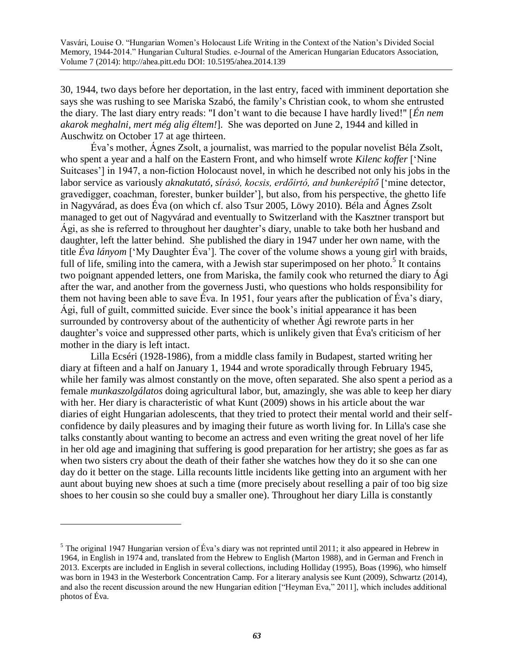30, 1944, two days before her deportation, in the last entry, faced with imminent deportation she says she was rushing to see Mariska Szabó, the family's Christian cook, to whom she entrusted the diary. The last diary entry reads: "I don't want to die because I have hardly lived!" [*Én nem akarok meghalni, mert még alig éltem!*]. She was deported on June 2, 1944 and killed in Auschwitz on October 17 at age thirteen.

Éva's mother, Ágnes Zsolt, a journalist, was married to the popular novelist Béla Zsolt, who spent a year and a half on the Eastern Front, and who himself wrote *Kilenc koffer* ['Nine Suitcases'] in 1947, a non-fiction Holocaust novel, in which he described not only his jobs in the labor service as variously *aknakutató, sírásó, kocsis, erdőirtó, and bunkerépítő* ['mine detector, gravedigger, coachman, forester, bunker builder'], but also, from his perspective, the ghetto life in Nagyvárad, as does Éva (on which cf. also Tsur 2005, Löwy 2010). Béla and Ágnes Zsolt managed to get out of Nagyvárad and eventually to Switzerland with the Kasztner transport but Ági, as she is referred to throughout her daughter's diary, unable to take both her husband and daughter, left the latter behind. She published the diary in 1947 under her own name, with the title *Éva lányom* ['My Daughter Éva']. The cover of the volume shows a young girl with braids, full of life, smiling into the camera, with a Jewish star superimposed on her photo.<sup>5</sup> It contains two poignant appended letters, one from Mariska, the family cook who returned the diary to Ági after the war, and another from the governess Justi, who questions who holds responsibility for them not having been able to save Éva. In 1951, four years after the publication of Éva's diary, Ági, full of guilt, committed suicide. Ever since the book's initial appearance it has been surrounded by controversy about of the authenticity of whether Ági rewrote parts in her daughter's voice and suppressed other parts, which is unlikely given that Éva's criticism of her mother in the diary is left intact.

Lilla Ecséri (1928-1986), from a middle class family in Budapest, started writing her diary at fifteen and a half on January 1, 1944 and wrote sporadically through February 1945, while her family was almost constantly on the move, often separated. She also spent a period as a female *munkaszolgálatos* doing agricultural labor, but, amazingly, she was able to keep her diary with her. Her diary is characteristic of what Kunt (2009) shows in his article about the war diaries of eight Hungarian adolescents, that they tried to protect their mental world and their selfconfidence by daily pleasures and by imaging their future as worth living for. In Lilla's case she talks constantly about wanting to become an actress and even writing the great novel of her life in her old age and imagining that suffering is good preparation for her artistry; she goes as far as when two sisters cry about the death of their father she watches how they do it so she can one day do it better on the stage. Lilla recounts little incidents like getting into an argument with her aunt about buying new shoes at such a time (more precisely about reselling a pair of too big size shoes to her cousin so she could buy a smaller one). Throughout her diary Lilla is constantly

<sup>&</sup>lt;sup>5</sup> The original 1947 Hungarian version of Éva's diary was not reprinted until 2011; it also appeared in Hebrew in 1964, in English in 1974 and, translated from the Hebrew to English (Marton 1988), and in German and French in 2013. Excerpts are included in English in several collections, including Holliday (1995), Boas (1996), who himself was born in 1943 in the Westerbork Concentration Camp. For a literary analysis see Kunt (2009), Schwartz (2014), and also the recent discussion around the new Hungarian edition ["Heyman Eva," 2011], which includes additional photos of Éva.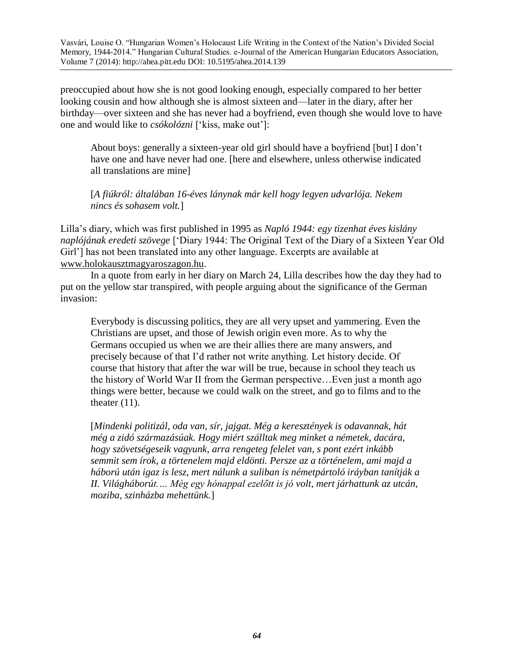preoccupied about how she is not good looking enough, especially compared to her better looking cousin and how although she is almost sixteen and—later in the diary, after her birthday—over sixteen and she has never had a boyfriend, even though she would love to have one and would like to *csókolózni* ['kiss, make out']:

About boys: generally a sixteen-year old girl should have a boyfriend [but] I don't have one and have never had one. [here and elsewhere, unless otherwise indicated all translations are mine]

[*A fiúkról: általában 16-éves lánynak már kell hogy legyen udvarlója. Nekem nincs és sohasem volt.*]

Lilla's diary, which was first published in 1995 as *Napló 1944: egy tizenhat éves kislány naplójának eredeti szövege* ['Diary 1944: The Original Text of the Diary of a Sixteen Year Old Girl'] has not been translated into any other language. Excerpts are available at [www.holokausztmagyaroszagon.hu.](http://www.holokaustmagyaroszagon.hu/)

In a quote from early in her diary on March 24, Lilla describes how the day they had to put on the yellow star transpired, with people arguing about the significance of the German invasion:

Everybody is discussing politics, they are all very upset and yammering. Even the Christians are upset, and those of Jewish origin even more. As to why the Germans occupied us when we are their allies there are many answers, and precisely because of that I'd rather not write anything. Let history decide. Of course that history that after the war will be true, because in school they teach us the history of World War II from the German perspective…Even just a month ago things were better, because we could walk on the street, and go to films and to the theater  $(11)$ .

[*Mindenki politizál, oda van, sír, jajgat. Még a keresztények is odavannak, hát még a zidó származásúak. Hogy miért szálltak meg minket a németek, dacára, hogy szövetségeseik vagyunk, arra rengeteg felelet van, s pont ezért inkább semmit sem írok, a törtenelem majd eldönti. Persze az a történelem, ami majd a háború után igaz is lesz, mert nálunk a suliban is németpártoló iráyban tanítják a II. Világháborút.… Még egy hónappal ezelőtt is jó volt, mert járhattunk az utcán, moziba, szinházba mehettünk.*]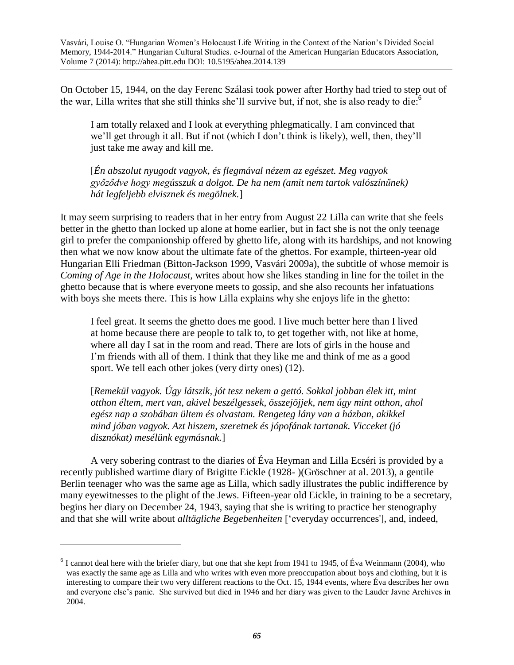On October 15, 1944, on the day Ferenc Szálasi took power after Horthy had tried to step out of the war, Lilla writes that she still thinks she'll survive but, if not, she is also ready to die:<sup>6</sup>

I am totally relaxed and I look at everything phlegmatically. I am convinced that we'll get through it all. But if not (which I don't think is likely), well, then, they'll just take me away and kill me.

[*Én abszolut nyugodt vagyok, és flegmával nézem az egészet. Meg vagyok győződve hogy megússzuk a dolgot. De ha nem (amit nem tartok valószínűnek) hát legfeljebb elvisznek és megölnek.*]

It may seem surprising to readers that in her entry from August 22 Lilla can write that she feels better in the ghetto than locked up alone at home earlier, but in fact she is not the only teenage girl to prefer the companionship offered by ghetto life, along with its hardships, and not knowing then what we now know about the ultimate fate of the ghettos. For example, thirteen-year old Hungarian Elli Friedman (Bitton-Jackson 1999, Vasvári 2009a), the subtitle of whose memoir is *Coming of Age in the Holocaust,* writes about how she likes standing in line for the toilet in the ghetto because that is where everyone meets to gossip, and she also recounts her infatuations with boys she meets there. This is how Lilla explains why she enjoys life in the ghetto:

I feel great. It seems the ghetto does me good. I live much better here than I lived at home because there are people to talk to, to get together with, not like at home, where all day I sat in the room and read. There are lots of girls in the house and I'm friends with all of them. I think that they like me and think of me as a good sport. We tell each other jokes (very dirty ones) (12).

[*Remekül vagyok. Úgy látszik, jót tesz nekem a gettó. Sokkal jobban élek itt, mint otthon éltem, mert van, akivel beszélgessek, összejöjjek, nem úgy mint otthon, ahol egész nap a szobában ültem és olvastam. Rengeteg lány van a házban, akikkel mind jóban vagyok. Azt hiszem, szeretnek és jópofának tartanak. Vicceket (jó disznókat) mesélünk egymásnak.*]

A very sobering contrast to the diaries of Éva Heyman and Lilla Ecséri is provided by a recently published wartime diary of Brigitte Eickle (1928- )(Gröschner at al. 2013), a gentile Berlin teenager who was the same age as Lilla, which sadly illustrates the public indifference by many eyewitnesses to the plight of the Jews. Fifteen-year old Eickle, in training to be a secretary, begins her diary on December 24, 1943, saying that she is writing to practice her stenography and that she will write about *alltägliche Begebenheiten* ['everyday occurrences'], and, indeed,

 $6$  I cannot deal here with the briefer diary, but one that she kept from 1941 to 1945, of Éva Weinmann (2004), who was exactly the same age as Lilla and who writes with even more preoccupation about boys and clothing, but it is interesting to compare their two very different reactions to the Oct. 15, 1944 events, where Éva describes her own and everyone else's panic. She survived but died in 1946 and her diary was given to the Lauder Javne Archives in 2004.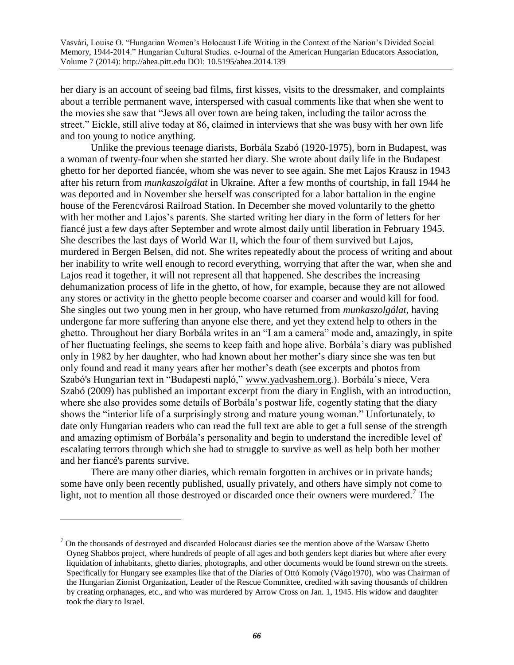her diary is an account of seeing bad films, first kisses, visits to the dressmaker, and complaints about a terrible permanent wave, interspersed with casual comments like that when she went to the movies she saw that "Jews all over town are being taken, including the tailor across the street." Eickle, still alive today at 86, claimed in interviews that she was busy with her own life and too young to notice anything.

Unlike the previous teenage diarists, Borbála Szabó (1920-1975), born in Budapest, was a woman of twenty-four when she started her diary. She wrote about daily life in the Budapest ghetto for her deported fiancée, whom she was never to see again. She met Lajos Krausz in 1943 after his return from *munkaszolgálat* in Ukraine. After a few months of courtship, in fall 1944 he was deported and in November she herself was conscripted for a labor battalion in the engine house of the Ferencvárosi Railroad Station. In December she moved voluntarily to the ghetto with her mother and Lajos's parents. She started writing her diary in the form of letters for her fiancé just a few days after September and wrote almost daily until liberation in February 1945. She describes the last days of World War II, which the four of them survived but Lajos, murdered in Bergen Belsen, did not. She writes repeatedly about the process of writing and about her inability to write well enough to record everything, worrying that after the war, when she and Lajos read it together, it will not represent all that happened. She describes the increasing dehumanization process of life in the ghetto, of how, for example, because they are not allowed any stores or activity in the ghetto people become coarser and coarser and would kill for food. She singles out two young men in her group, who have returned from *munkaszolgálat*, having undergone far more suffering than anyone else there, and yet they extend help to others in the ghetto. Throughout her diary Borbála writes in an "I am a camera" mode and, amazingly, in spite of her fluctuating feelings, she seems to keep faith and hope alive. Borbála's diary was published only in 1982 by her daughter, who had known about her mother's diary since she was ten but only found and read it many years after her mother's death (see excerpts and photos from Szabó's Hungarian text in "Budapesti napló," [www.yadvashem.org.](http://www.yadvashem.org/)). Borbála's niece, Vera Szabó (2009) has published an important excerpt from the diary in English, with an introduction, where she also provides some details of Borbála's postwar life, cogently stating that the diary shows the "interior life of a surprisingly strong and mature young woman." Unfortunately, to date only Hungarian readers who can read the full text are able to get a full sense of the strength and amazing optimism of Borbála's personality and begin to understand the incredible level of escalating terrors through which she had to struggle to survive as well as help both her mother and her fiancé's parents survive.

There are many other diaries, which remain forgotten in archives or in private hands; some have only been recently published, usually privately, and others have simply not come to light, not to mention all those destroyed or discarded once their owners were murdered.<sup>7</sup> The

 $<sup>7</sup>$  On the thousands of destroyed and discarded Holocaust diaries see the mention above of the Warsaw Ghetto</sup> Oyneg Shabbos project, where hundreds of people of all ages and both genders kept diaries but where after every liquidation of inhabitants, ghetto diaries, photographs, and other documents would be found strewn on the streets. Specifically for Hungary see examples like that of the Diaries of Ottó Komoly (Vágo1970), who was Chairman of the Hungarian Zionist Organization, Leader of the Rescue Committee, credited with saving thousands of children by creating orphanages, etc., and who was murdered by Arrow Cross on Jan. 1, 1945. His widow and daughter took the diary to Israel.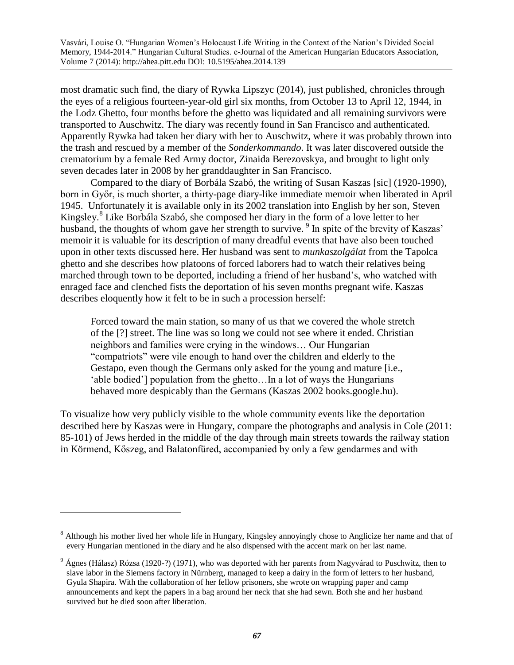most dramatic such find, the diary of Rywka Lipszyc (2014), just published, chronicles through the eyes of a religious fourteen-year-old girl six months, from October 13 to April 12, 1944, in the Lodz Ghetto, four months before the ghetto was liquidated and all remaining survivors were transported to Auschwitz. The diary was recently found in San Francisco and authenticated. Apparently Rywka had taken her diary with her to Auschwitz, where it was probably thrown into the trash and rescued by a member of the *Sonderkommando*. It was later discovered outside the crematorium by a female Red Army doctor, Zinaida Berezovskya, and brought to light only seven decades later in 2008 by her granddaughter in San Francisco.

Compared to the diary of Borbála Szabó, the writing of Susan Kaszas [sic] (1920-1990), born in Győr, is much shorter, a thirty-page diary-like immediate memoir when liberated in April 1945. Unfortunately it is available only in its 2002 translation into English by her son, Steven Kingsley.<sup>8</sup> Like Borbála Szabó, she composed her diary in the form of a love letter to her husband, the thoughts of whom gave her strength to survive.<sup>9</sup> In spite of the brevity of Kaszas' memoir it is valuable for its description of many dreadful events that have also been touched upon in other texts discussed here. Her husband was sent to *munkaszolgálat* from the Tapolca ghetto and she describes how platoons of forced laborers had to watch their relatives being marched through town to be deported, including a friend of her husband's, who watched with enraged face and clenched fists the deportation of his seven months pregnant wife. Kaszas describes eloquently how it felt to be in such a procession herself:

Forced toward the main station, so many of us that we covered the whole stretch of the [?] street. The line was so long we could not see where it ended. Christian neighbors and families were crying in the windows… Our Hungarian "compatriots" were vile enough to hand over the children and elderly to the Gestapo, even though the Germans only asked for the young and mature [i.e., 'able bodied'] population from the ghetto…In a lot of ways the Hungarians behaved more despicably than the Germans (Kaszas 2002 books.google.hu).

To visualize how very publicly visible to the whole community events like the deportation described here by Kaszas were in Hungary, compare the photographs and analysis in Cole (2011: 85-101) of Jews herded in the middle of the day through main streets towards the railway station in Körmend, Kőszeg, and Balatonfüred, accompanied by only a few gendarmes and with

<sup>&</sup>lt;sup>8</sup> Although his mother lived her whole life in Hungary, Kingsley annoyingly chose to Anglicize her name and that of every Hungarian mentioned in the diary and he also dispensed with the accent mark on her last name.

 $9\text{ Ágnes}$  (Hálasz) Rózsa (1920-?) (1971), who was deported with her parents from Nagyvárad to Puschwitz, then to slave labor in the Siemens factory in Nürnberg, managed to keep a dairy in the form of letters to her husband, Gyula Shapira. With the collaboration of her fellow prisoners, she wrote on wrapping paper and camp announcements and kept the papers in a bag around her neck that she had sewn. Both she and her husband survived but he died soon after liberation.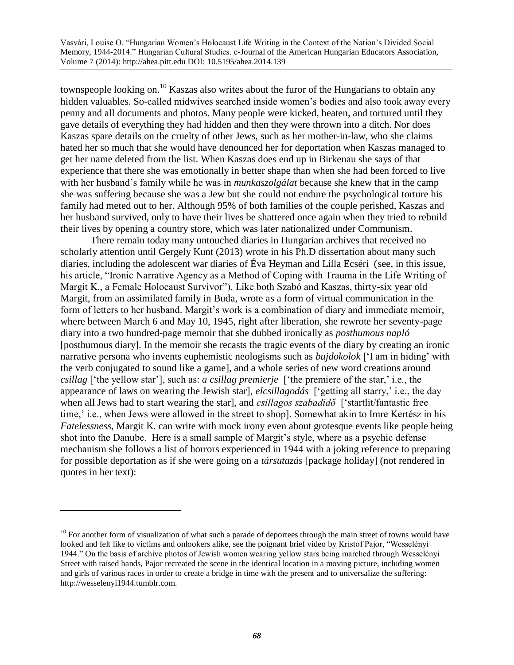townspeople looking on.<sup>10</sup> Kaszas also writes about the furor of the Hungarians to obtain any hidden valuables. So-called midwives searched inside women's bodies and also took away every penny and all documents and photos. Many people were kicked, beaten, and tortured until they gave details of everything they had hidden and then they were thrown into a ditch. Nor does Kaszas spare details on the cruelty of other Jews, such as her mother-in-law, who she claims hated her so much that she would have denounced her for deportation when Kaszas managed to get her name deleted from the list. When Kaszas does end up in Birkenau she says of that experience that there she was emotionally in better shape than when she had been forced to live with her husband's family while he was in *munkaszolgálat* because she knew that in the camp she was suffering because she was a Jew but she could not endure the psychological torture his family had meted out to her. Although 95% of both families of the couple perished, Kaszas and her husband survived, only to have their lives be shattered once again when they tried to rebuild their lives by opening a country store, which was later nationalized under Communism.

There remain today many untouched diaries in Hungarian archives that received no scholarly attention until Gergely Kunt (2013) wrote in his Ph.D dissertation about many such diaries, including the adolescent war diaries of Éva Heyman and Lilla Ecséri (see, in this issue, his article, "Ironic Narrative Agency as a Method of Coping with Trauma in the Life Writing of Margit K., a Female Holocaust Survivor"). Like both Szabó and Kaszas, thirty-six year old Margit, from an assimilated family in Buda, wrote as a form of virtual communication in the form of letters to her husband. Margit's work is a combination of diary and immediate memoir, where between March 6 and May 10, 1945, right after liberation, she rewrote her seventy-page diary into a two hundred-page memoir that she dubbed ironically as *posthumous napló*  [posthumous diary]. In the memoir she recasts the tragic events of the diary by creating an ironic narrative persona who invents euphemistic neologisms such as *bujdokolok* ['I am in hiding' with the verb conjugated to sound like a game], and a whole series of new word creations around *csillag* ['the yellow star'], such as: *a csillag premierje* ['the premiere of the star,' i.e., the appearance of laws on wearing the Jewish star], *elcsillagodás* ['getting all starry,' i.e., the day when all Jews had to start wearing the starl, and *csillagos szabadidő* ['startlit/fantastic free time,' i.e., when Jews were allowed in the street to shop]. Somewhat akin to Imre Kertész in his *Fatelessness*, Margit K. can write with mock irony even about grotesque events like people being shot into the Danube. Here is a small sample of Margit's style, where as a psychic defense mechanism she follows a list of horrors experienced in 1944 with a joking reference to preparing for possible deportation as if she were going on a *társutazás* [package holiday] (not rendered in quotes in her text):

 $10$  For another form of visualization of what such a parade of deportees through the main street of towns would have looked and felt like to victims and onlookers alike, see the poignant brief video by Kristof Pajor, "Wesselényi 1944." On the basis of archive photos of Jewish women wearing yellow stars being marched through Wesselényi Street with raised hands, Pajor recreated the scene in the identical location in a moving picture, including women and girls of various races in order to create a bridge in time with the present and to universalize the suffering: [http://wesselenyi1944.tumblr.com.](http://wesselenyi1944.tumblr.com/)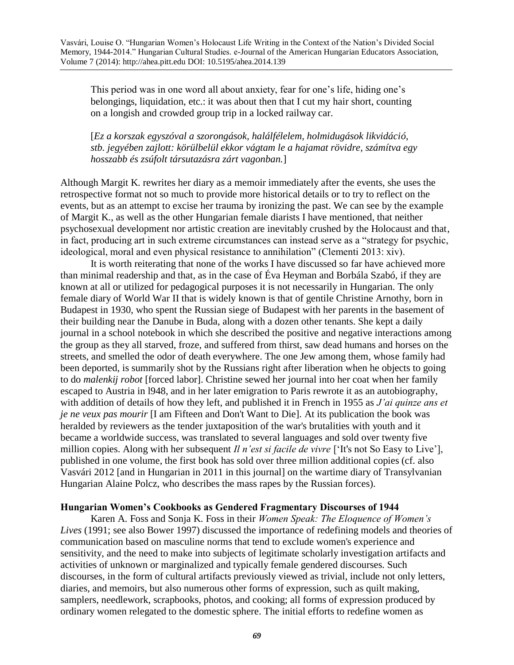This period was in one word all about anxiety, fear for one's life, hiding one's belongings, liquidation, etc.: it was about then that I cut my hair short, counting on a longish and crowded group trip in a locked railway car.

[*Ez a korszak egyszóval a szorongások, halálfélelem, holmidugások likvidáció, stb. jegyében zajlott: körülbelül ekkor vágtam le a hajamat rövidre, számítva egy hosszabb és zsúfolt társutazásra zárt vagonban.*]

Although Margit K. rewrites her diary as a memoir immediately after the events, she uses the retrospective format not so much to provide more historical details or to try to reflect on the events, but as an attempt to excise her trauma by ironizing the past. We can see by the example of Margit K., as well as the other Hungarian female diarists I have mentioned, that neither psychosexual development nor artistic creation are inevitably crushed by the Holocaust and that, in fact, producing art in such extreme circumstances can instead serve as a "strategy for psychic, ideological, moral and even physical resistance to annihilation" (Clementi 2013: xiv).

It is worth reiterating that none of the works I have discussed so far have achieved more than minimal readership and that, as in the case of Éva Heyman and Borbála Szabó, if they are known at all or utilized for pedagogical purposes it is not necessarily in Hungarian. The only female diary of World War II that is widely known is that of gentile Christine Arnothy, born in Budapest in 1930, who spent the Russian siege of Budapest with her parents in the basement of their building near the Danube in Buda, along with a dozen other tenants. She kept a daily journal in a school notebook in which she described the positive and negative interactions among the group as they all starved, froze, and suffered from thirst, saw dead humans and horses on the streets, and smelled the odor of death everywhere. The one Jew among them, whose family had been deported, is summarily shot by the Russians right after liberation when he objects to going to do *malenkij robot* [forced labor]. Christine sewed her journal into her coat when her family escaped to Austria in l948, and in her later emigration to Paris rewrote it as an autobiography, with addition of details of how they left, and published it in French in 1955 as *J'ai quinze ans et je ne veux pas mourir* [I am Fifteen and Don't Want to Die]*.* At its publication the book was heralded by reviewers as the tender juxtaposition of the war's brutalities with youth and it became a worldwide success, was translated to several languages and sold over twenty five million copies. Along with her subsequent *Il n'est si facile de vivre* ['It's not So Easy to Live'], published in one volume, the first book has sold over three million additional copies (cf. also Vasvári 2012 [and in Hungarian in 2011 in this journal] on the wartime diary of Transylvanian Hungarian Alaine Polcz, who describes the mass rapes by the Russian forces).

### **Hungarian Women's Cookbooks as Gendered Fragmentary Discourses of 1944**

Karen A. Foss and Sonja K. Foss in their *Women Speak: The Eloquence of Women's Lives* (1991; see also Bower 1997) discussed the importance of redefining models and theories of communication based on masculine norms that tend to exclude women's experience and sensitivity, and the need to make into subjects of legitimate scholarly investigation artifacts and activities of unknown or marginalized and typically female gendered discourses. Such discourses, in the form of cultural artifacts previously viewed as trivial, include not only letters, diaries, and memoirs, but also numerous other forms of expression, such as quilt making, samplers, needlework, scrapbooks, photos, and cooking; all forms of expression produced by ordinary women relegated to the domestic sphere. The initial efforts to redefine women as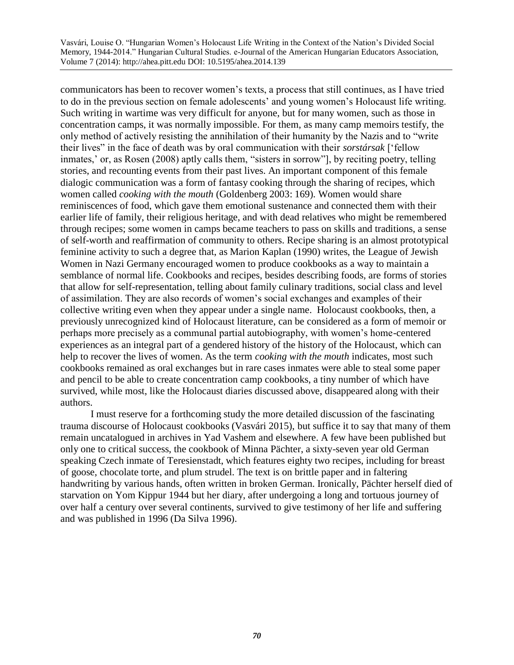communicators has been to recover women's texts, a process that still continues, as I have tried to do in the previous section on female adolescents' and young women's Holocaust life writing. Such writing in wartime was very difficult for anyone, but for many women, such as those in concentration camps, it was normally impossible. For them, as many camp memoirs testify, the only method of actively resisting the annihilation of their humanity by the Nazis and to "write their lives" in the face of death was by oral communication with their *sorstársak* ['fellow inmates,' or, as Rosen (2008) aptly calls them, "sisters in sorrow"], by reciting poetry, telling stories, and recounting events from their past lives. An important component of this female dialogic communication was a form of fantasy cooking through the sharing of recipes, which women called *cooking with the mouth* (Goldenberg 2003: 169)*.* Women would share reminiscences of food, which gave them emotional sustenance and connected them with their earlier life of family, their religious heritage, and with dead relatives who might be remembered through recipes; some women in camps became teachers to pass on skills and traditions, a sense of self-worth and reaffirmation of community to others. Recipe sharing is an almost prototypical feminine activity to such a degree that, as Marion Kaplan (1990) writes, the League of Jewish Women in Nazi Germany encouraged women to produce cookbooks as a way to maintain a semblance of normal life. Cookbooks and recipes, besides describing foods, are forms of stories that allow for self-representation, telling about family culinary traditions, social class and level of assimilation. They are also records of women's social exchanges and examples of their collective writing even when they appear under a single name. Holocaust cookbooks, then, a previously unrecognized kind of Holocaust literature, can be considered as a form of memoir or perhaps more precisely as a communal partial autobiography, with women's home-centered experiences as an integral part of a gendered history of the history of the Holocaust, which can help to recover the lives of women. As the term *cooking with the mouth* indicates, most such cookbooks remained as oral exchanges but in rare cases inmates were able to steal some paper and pencil to be able to create concentration camp cookbooks, a tiny number of which have survived, while most, like the Holocaust diaries discussed above, disappeared along with their authors.

I must reserve for a forthcoming study the more detailed discussion of the fascinating trauma discourse of Holocaust cookbooks (Vasvári 2015), but suffice it to say that many of them remain uncatalogued in archives in Yad Vashem and elsewhere. A few have been published but only one to critical success, the cookbook of Minna Pächter, a sixty-seven year old German speaking Czech inmate of Teresienstadt, which features eighty two recipes, including for breast of goose, chocolate torte, and plum strudel. The text is on brittle paper and in faltering handwriting by various hands, often written in broken German. Ironically, Pächter herself died of starvation on Yom Kippur 1944 but her diary, after undergoing a long and tortuous journey of over half a century over several continents, survived to give testimony of her life and suffering and was published in 1996 (Da Silva 1996).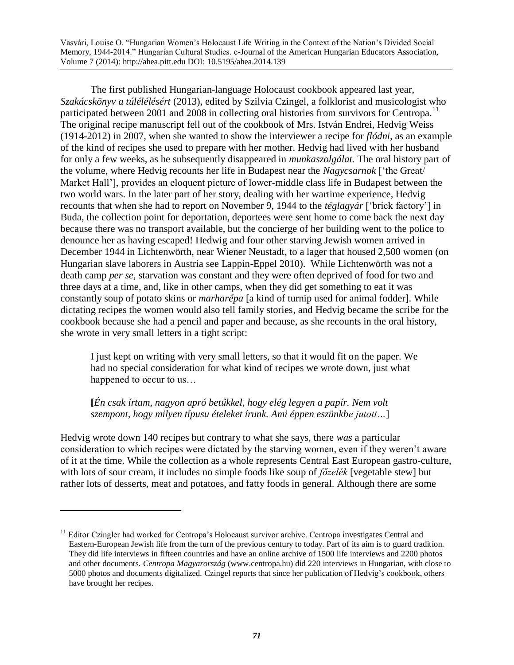The first published Hungarian-language Holocaust cookbook appeared last year, *Szakácskönyv a túlélélésért* (2013), edited by Szilvia Czingel, a folklorist and musicologist who participated between 2001 and 2008 in collecting oral histories from survivors for Centropa.<sup>11</sup> The original recipe manuscript fell out of the cookbook of Mrs. István Endrei, Hedvig Weiss (1914-2012) in 2007, when she wanted to show the interviewer a recipe for *flódni,* as an example of the kind of recipes she used to prepare with her mother. Hedvig had lived with her husband for only a few weeks, as he subsequently disappeared in *munkaszolgálat.* The oral history part of the volume, where Hedvig recounts her life in Budapest near the *Nagycsarnok* ['the Great/ Market Hall'], provides an eloquent picture of lower-middle class life in Budapest between the two world wars. In the later part of her story, dealing with her wartime experience, Hedvig recounts that when she had to report on November 9, 1944 to the *téglagyár* ['brick factory'] in Buda, the collection point for deportation, deportees were sent home to come back the next day because there was no transport available, but the concierge of her building went to the police to denounce her as having escaped! Hedwig and four other starving Jewish women arrived in December 1944 in Lichtenwörth, near Wiener Neustadt, to a lager that housed 2,500 women (on Hungarian slave laborers in Austria see Lappin-Eppel 2010). While Lichtenwörth was not a death camp *per se*, starvation was constant and they were often deprived of food for two and three days at a time, and, like in other camps, when they did get something to eat it was constantly soup of potato skins or *marharépa* [a kind of turnip used for animal fodder]. While dictating recipes the women would also tell family stories, and Hedvig became the scribe for the cookbook because she had a pencil and paper and because, as she recounts in the oral history, she wrote in very small letters in a tight script:

I just kept on writing with very small letters, so that it would fit on the paper. We had no special consideration for what kind of recipes we wrote down, just what happened to occur to us...

# **[***Én csak írtam, nagyon apró betűkkel, hogy elég legyen a papír. Nem volt szempont, hogy milyen típusu ételeket írunk. Ami éppen eszünkbe jutott…*]

 $\overline{a}$ 

Hedvig wrote down 140 recipes but contrary to what she says, there *was* a particular consideration to which recipes were dictated by the starving women, even if they weren't aware of it at the time. While the collection as a whole represents Central East European gastro-culture, with lots of sour cream, it includes no simple foods like soup of *főzelék* [vegetable stew] but rather lots of desserts, meat and potatoes, and fatty foods in general. Although there are some

<sup>&</sup>lt;sup>11</sup> Editor Czingler had worked for Centropa's Holocaust survivor archive. Centropa investigates Central and Eastern-European Jewish life from the turn of the previous century to today. Part of its aim is to guard tradition. They did life interviews in fifteen countries and have an online archive of 1500 life interviews and 2200 photos and other documents. *Centropa Magyarország* [\(www.centropa.hu\)](http://www.centropa.hu/) did 220 interviews in Hungarian, with close to 5000 photos and documents digitalized*.* Czingel reports that since her publication of Hedvig's cookbook, others have brought her recipes.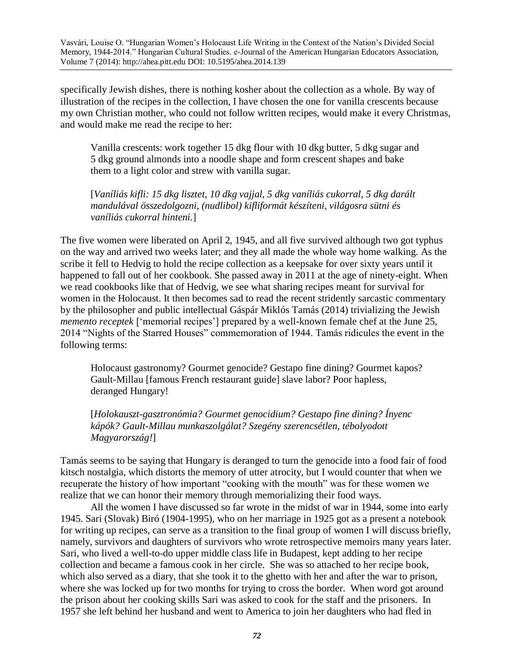specifically Jewish dishes, there is nothing kosher about the collection as a whole. By way of illustration of the recipes in the collection, I have chosen the one for vanilla crescents because my own Christian mother, who could not follow written recipes, would make it every Christmas, and would make me read the recipe to her:

Vanilla crescents: work together 15 dkg flour with 10 dkg butter, 5 dkg sugar and 5 dkg ground almonds into a noodle shape and form crescent shapes and bake them to a light color and strew with vanilla sugar.

[*Vaníliás kifli: 15 dkg lisztet, 10 dkg vajjal, 5 dkg vaníliás cukorral, 5 dkg darált mandulával összedolgozni, (nudlibol) kifliformát készíteni, világosra sütni és vaníliás cukorral hinteni.*]

The five women were liberated on April 2, 1945, and all five survived although two got typhus on the way and arrived two weeks later; and they all made the whole way home walking. As the scribe it fell to Hedvig to hold the recipe collection as a keepsake for over sixty years until it happened to fall out of her cookbook. She passed away in 2011 at the age of ninety-eight. When we read cookbooks like that of Hedvig, we see what sharing recipes meant for survival for women in the Holocaust. It then becomes sad to read the recent stridently sarcastic commentary by the philosopher and public intellectual Gáspár Miklós Tamás (2014) trivializing the Jewish *memento receptek* ['memorial recipes'] prepared by a well-known female chef at the June 25, 2014 "Nights of the Starred Houses" commemoration of 1944. Tamás ridicules the event in the following terms:

Holocaust gastronomy? Gourmet genocide? Gestapo fine dining? Gourmet kapos? Gault-Millau [famous French restaurant guide] slave labor? Poor hapless, deranged Hungary!

[*Holokauszt-gasztronómia? Gourmet genocidium? Gestapo fine dining? Ínyenc kápók? Gault-Millau munkaszolgálat? Szegény szerencsétlen, tébolyodott Magyarország!*]

Tamás seems to be saying that Hungary is deranged to turn the genocide into a food fair of food kitsch nostalgia, which distorts the memory of utter atrocity, but I would counter that when we recuperate the history of how important "cooking with the mouth" was for these women we realize that we can honor their memory through memorializing their food ways.

All the women I have discussed so far wrote in the midst of war in 1944, some into early 1945. Sari (Slovak) Biró (1904-1995), who on her marriage in 1925 got as a present a notebook for writing up recipes, can serve as a transition to the final group of women I will discuss briefly, namely, survivors and daughters of survivors who wrote retrospective memoirs many years later. Sari, who lived a well-to-do upper middle class life in Budapest, kept adding to her recipe collection and became a famous cook in her circle. She was so attached to her recipe book, which also served as a diary, that she took it to the ghetto with her and after the war to prison, where she was locked up for two months for trying to cross the border. When word got around the prison about her cooking skills Sari was asked to cook for the staff and the prisoners. In 1957 she left behind her husband and went to America to join her daughters who had fled in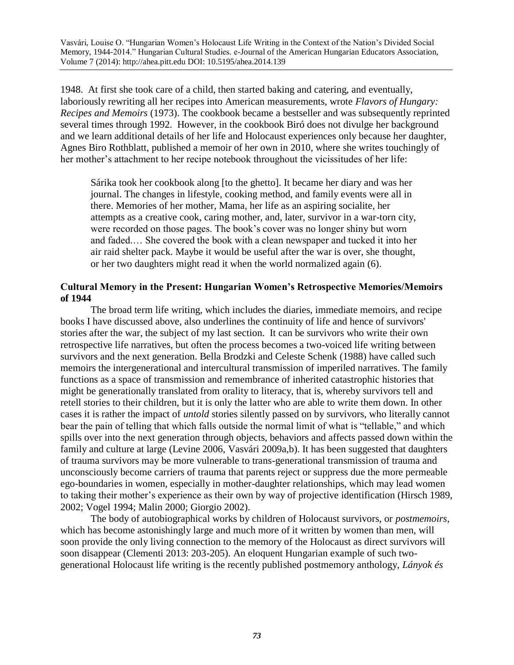1948. At first she took care of a child, then started baking and catering, and eventually, laboriously rewriting all her recipes into American measurements, wrote *Flavors of Hungary: Recipes and Memoirs* (1973). The cookbook became a bestseller and was subsequently reprinted several times through 1992. However, in the cookbook Biró does not divulge her background and we learn additional details of her life and Holocaust experiences only because her daughter, Agnes Biro Rothblatt, published a memoir of her own in 2010, where she writes touchingly of her mother's attachment to her recipe notebook throughout the vicissitudes of her life:

Sárika took her cookbook along [to the ghetto]. It became her diary and was her journal. The changes in lifestyle, cooking method, and family events were all in there. Memories of her mother, Mama, her life as an aspiring socialite, her attempts as a creative cook, caring mother, and, later, survivor in a war-torn city, were recorded on those pages. The book's cover was no longer shiny but worn and faded.… She covered the book with a clean newspaper and tucked it into her air raid shelter pack. Maybe it would be useful after the war is over, she thought, or her two daughters might read it when the world normalized again (6).

### **Cultural Memory in the Present: Hungarian Women's Retrospective Memories/Memoirs of 1944**

The broad term life writing, which includes the diaries, immediate memoirs, and recipe books I have discussed above, also underlines the continuity of life and hence of survivors' stories after the war, the subject of my last section. It can be survivors who write their own retrospective life narratives, but often the process becomes a two-voiced life writing between survivors and the next generation. Bella Brodzki and Celeste Schenk (1988) have called such memoirs the intergenerational and intercultural transmission of imperiled narratives. The family functions as a space of transmission and remembrance of inherited catastrophic histories that might be generationally translated from orality to literacy, that is, whereby survivors tell and retell stories to their children, but it is only the latter who are able to write them down. In other cases it is rather the impact of *untold* stories silently passed on by survivors, who literally cannot bear the pain of telling that which falls outside the normal limit of what is "tellable," and which spills over into the next generation through objects, behaviors and affects passed down within the family and culture at large (Levine 2006, Vasvári 2009a,b). It has been suggested that daughters of trauma survivors may be more vulnerable to trans-generational transmission of trauma and unconsciously become carriers of trauma that parents reject or suppress due the more permeable ego-boundaries in women, especially in mother-daughter relationships, which may lead women to taking their mother's experience as their own by way of projective identification (Hirsch 1989, 2002; Vogel 1994; Malin 2000; Giorgio 2002).

The body of autobiographical works by children of Holocaust survivors, or *postmemoirs*, which has become astonishingly large and much more of it written by women than men, will soon provide the only living connection to the memory of the Holocaust as direct survivors will soon disappear (Clementi 2013: 203-205). An eloquent Hungarian example of such twogenerational Holocaust life writing is the recently published postmemory anthology, *Lányok és*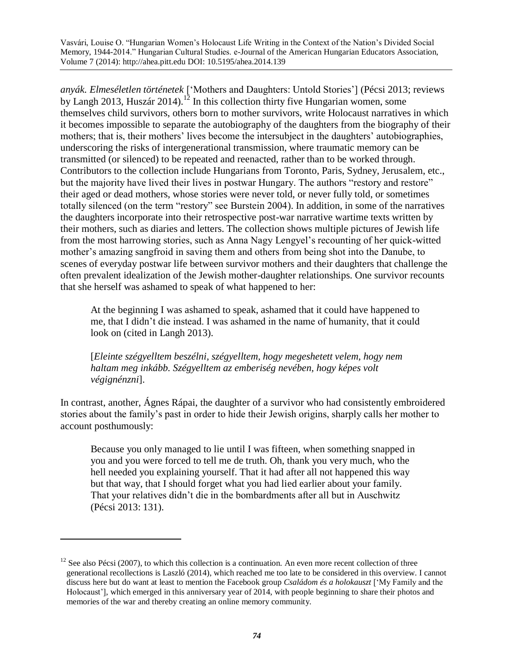*anyák. Elmeséletlen történetek* ['Mothers and Daughters: Untold Stories'] (Pécsi 2013; reviews by Langh 2013, Huszár 2014).<sup>12</sup> In this collection thirty five Hungarian women, some themselves child survivors, others born to mother survivors, write Holocaust narratives in which it becomes impossible to separate the autobiography of the daughters from the biography of their mothers; that is, their mothers' lives become the intersubject in the daughters' autobiographies, underscoring the risks of intergenerational transmission, where traumatic memory can be transmitted (or silenced) to be repeated and reenacted, rather than to be worked through. Contributors to the collection include Hungarians from Toronto, Paris, Sydney, Jerusalem, etc., but the majority have lived their lives in postwar Hungary. The authors "restory and restore" their aged or dead mothers, whose stories were never told, or never fully told, or sometimes totally silenced (on the term "restory" see Burstein 2004). In addition, in some of the narratives the daughters incorporate into their retrospective post-war narrative wartime texts written by their mothers, such as diaries and letters. The collection shows multiple pictures of Jewish life from the most harrowing stories, such as Anna Nagy Lengyel's recounting of her quick-witted mother's amazing sangfroid in saving them and others from being shot into the Danube, to scenes of everyday postwar life between survivor mothers and their daughters that challenge the often prevalent idealization of the Jewish mother-daughter relationships. One survivor recounts that she herself was ashamed to speak of what happened to her:

At the beginning I was ashamed to speak, ashamed that it could have happened to me, that I didn't die instead. I was ashamed in the name of humanity, that it could look on (cited in Langh 2013).

[*Eleinte szégyelltem beszélni, szégyelltem, hogy megeshetett velem, hogy nem haltam meg inkább. Szégyelltem az emberiség nevében, hogy képes volt végignénzni*].

In contrast, another, Ágnes Rápai, the daughter of a survivor who had consistently embroidered stories about the family's past in order to hide their Jewish origins, sharply calls her mother to account posthumously:

Because you only managed to lie until I was fifteen, when something snapped in you and you were forced to tell me de truth. Oh, thank you very much, who the hell needed you explaining yourself. That it had after all not happened this way but that way, that I should forget what you had lied earlier about your family. That your relatives didn't die in the bombardments after all but in Auschwitz (Pécsi 2013: 131).

 $12$  See also Pécsi (2007), to which this collection is a continuation. An even more recent collection of three generational recollections is Laszló (2014), which reached me too late to be considered in this overview. I cannot discuss here but do want at least to mention the Facebook group *Családom és a holokauszt* ['My Family and the Holocaust'], which emerged in this anniversary year of 2014, with people beginning to share their photos and memories of the war and thereby creating an online memory community.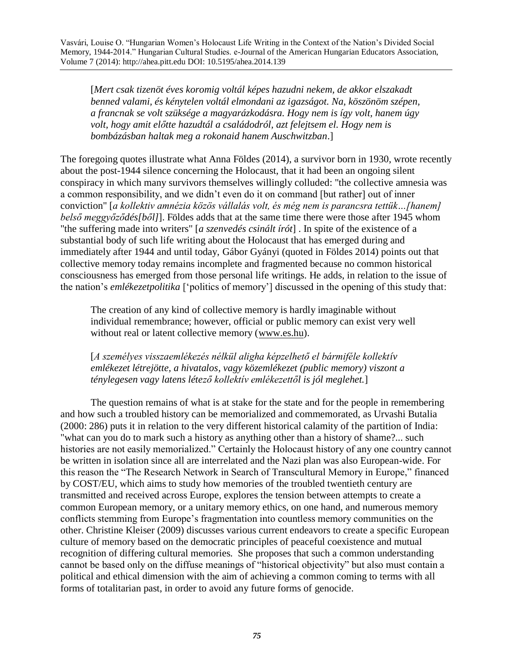[*Mert csak tizenöt éves koromig voltál képes hazudni nekem, de akkor elszakadt benned valami, és kénytelen voltál elmondani az igazságot. Na, köszönöm szépen, a francnak se volt szüksége a magyarázkodásra. Hogy nem is így volt, hanem úgy volt, hogy amit előtte hazudtál a családodról, azt felejtsem el. Hogy nem is bombázásban haltak meg a rokonaid hanem Auschwitzban*.]

The foregoing quotes illustrate what Anna Földes (2014), a survivor born in 1930, wrote recently about the post-1944 silence concerning the Holocaust, that it had been an ongoing silent conspiracy in which many survivors themselves willingly colluded: "the collective amnesia was a common responsibility, and we didn't even do it on command [but rather] out of inner conviction" [*a kollektiv amnézia közös vállalás volt, és még nem is parancsra tettük…[hanem] belső meggyőződés[ből]*]. Földes adds that at the same time there were those after 1945 whom "the suffering made into writers" [*a szenvedés csinált írót*] . In spite of the existence of a substantial body of such life writing about the Holocaust that has emerged during and immediately after 1944 and until today, Gábor Gyányi (quoted in Földes 2014) points out that collective memory today remains incomplete and fragmented because no common historical consciousness has emerged from those personal life writings. He adds, in relation to the issue of the nation's *emlékezetpolitika* ['politics of memory'] discussed in the opening of this study that:

The creation of any kind of collective memory is hardly imaginable without individual remembrance; however, official or public memory can exist very well without real or latent collective memory [\(www.es.hu\)](http://www.es.hu/).

[*A személyes visszaemlékezés nélkül aligha képzelhető el bármiféle kollektív emlékezet létrejötte, a hivatalos, vagy közemlékezet (public memory) viszont a ténylegesen vagy latens létező kollektív emlékezettől is jól meglehet.*]

The question remains of what is at stake for the state and for the people in remembering and how such a troubled history can be memorialized and commemorated, as Urvashi Butalia (2000: 286) puts it in relation to the very different historical calamity of the partition of India: "what can you do to mark such a history as anything other than a history of shame?... such histories are not easily memorialized." Certainly the Holocaust history of any one country cannot be written in isolation since all are interrelated and the Nazi plan was also European-wide. For this reason the "The Research Network in Search of Transcultural Memory in Europe," financed by COST/EU, which aims to study how memories of the troubled twentieth century are transmitted and received across Europe, explores the tension between attempts to create a common European memory, or a unitary memory ethics, on one hand, and numerous memory conflicts stemming from Europe's fragmentation into countless memory communities on the other. Christine Kleiser (2009) discusses various current endeavors to create a specific European culture of memory based on the democratic principles of peaceful coexistence and mutual recognition of differing cultural memories. She proposes that such a common understanding cannot be based only on the diffuse meanings of "historical objectivity" but also must contain a political and ethical dimension with the aim of achieving a common coming to terms with all forms of totalitarian past, in order to avoid any future forms of genocide.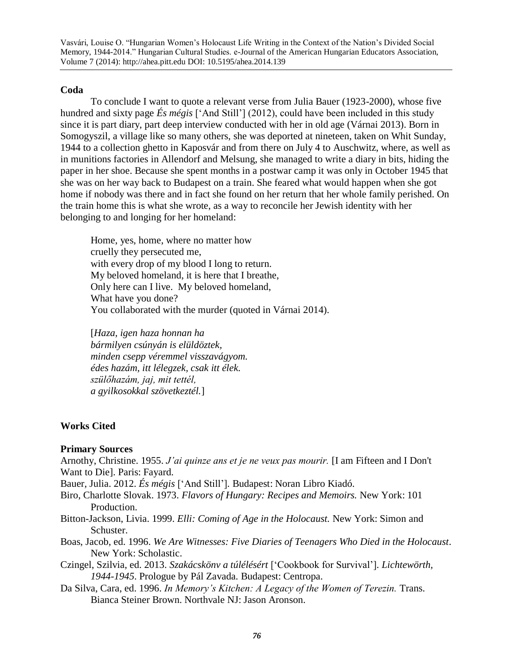### **Coda**

To conclude I want to quote a relevant verse from Julia Bauer (1923-2000), whose five hundred and sixty page *És mégis* ['And Still'] (2012), could have been included in this study since it is part diary, part deep interview conducted with her in old age (Várnai 2013). Born in Somogyszil, a village like so many others, she was deported at nineteen, taken on Whit Sunday, 1944 to a collection ghetto in Kaposvár and from there on July 4 to Auschwitz, where, as well as in munitions factories in Allendorf and Melsung, she managed to write a diary in bits, hiding the paper in her shoe. Because she spent months in a postwar camp it was only in October 1945 that she was on her way back to Budapest on a train. She feared what would happen when she got home if nobody was there and in fact she found on her return that her whole family perished. On the train home this is what she wrote, as a way to reconcile her Jewish identity with her belonging to and longing for her homeland:

Home, yes, home, where no matter how cruelly they persecuted me, with every drop of my blood I long to return. My beloved homeland, it is here that I breathe, Only here can I live. My beloved homeland, What have you done? You collaborated with the murder (quoted in Várnai 2014).

[*Haza, igen haza honnan ha bármilyen csúnyán is elüldöztek, minden csepp véremmel visszavágyom. édes hazám, itt lélegzek, csak itt élek. szülőhazám, jaj, mit tettél, a gyilkosokkal szövetkeztél.*]

### **Works Cited**

#### **Primary Sources**

Arnothy, Christine. 1955. *J'ai quinze ans et je ne veux pas mourir.* [I am Fifteen and I Don't Want to Die]. Paris: Fayard*.* 

Bauer, Julia. 2012. *És mégis* ['And Still']*.* Budapest: Noran Libro Kiadó.

- Biro, Charlotte Slovak. 1973. *Flavors of Hungary: Recipes and Memoirs.* New York: 101 Production.
- Bitton-Jackson, Livia. 1999. *Elli: Coming of Age in the Holocaust.* New York: Simon and Schuster.
- Boas, Jacob, ed. 1996. *We Are Witnesses: Five Diaries of Teenagers Who Died in the Holocaust.*  New York: Scholastic.
- Czingel, Szilvia, ed. 2013. *Szakácskönv a túlélésért* ['Cookbook for Survival']*. Lichtewörth, 1944-1945*. Prologue by Pál Zavada*.* Budapest: Centropa.
- Da Silva, Cara, ed. 1996. *In Memory's Kitchen: A Legacy of the Women of Terezin.* Trans. Bianca Steiner Brown. Northvale NJ: Jason Aronson.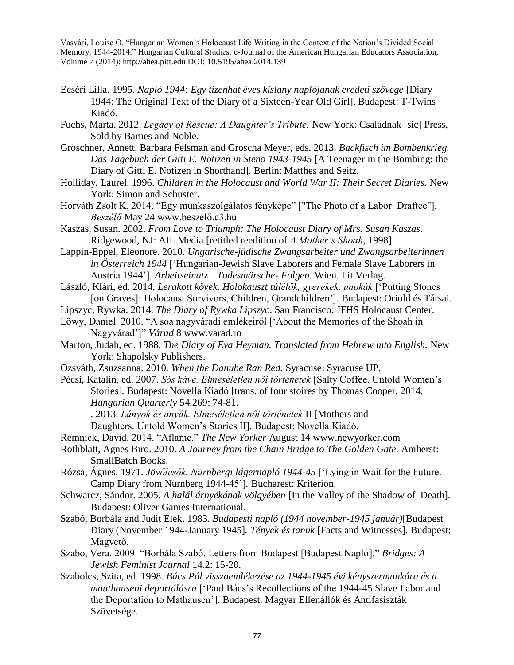- Ecséri Lilla*.* 1995. *Napló 1944: Egy tizenhat éves kislány naplójának eredeti szövege* [Diary 1944: The Original Text of the Diary of a Sixteen-Year Old Girl]. Budapest: T-Twins Kiadó*.*
- Fuchs, Marta. 2012. *Legacy of Rescue: A Daughter's Tribute.* New York: Csaladnak [sic] Press, Sold by Barnes and Noble.
- Gröschner, Annett, Barbara Felsman and Groscha Meyer, eds. 2013. *Backfisch im Bombenkrieg. Das Tagebuch der Gitti E. Notizen in Steno 1943-1945* [A Teenager in the Bombing: the Diary of Gitti E. Notizen in Shorthand]*.* Berlin: Matthes and Seitz.
- Holliday, Laurel. 1996. *Children in the Holocaust and World War II: Their Secret Diaries.* New York: Simon and Schuster.
- Horváth Zsolt K. 2014. "Egy munkaszolgálatos fényképe" ["The Photo of a Labor Draftee"]. *Beszélő* May 24 [www.beszélő.c3.hu](http://www.beszélő.c3.hu/)
- Kaszas, Susan. 2002. *From Love to Triumph: The Holocaust Diary of Mrs. Susan Kaszas*. Ridgewood, NJ: AIL Media [retitled reedition of *A Mother's Shoah*, 1998].
- Lappin-Eppel, Eleonore. 2010. *Ungarische-jüdische Zwangsarbeiter und Zwangsarbeiterinnen in Österreich 1944* ['Hungarian-Jewish Slave Laborers and Female Slave Laborers in Austria 1944']*. Arbeitseinatz—Todesmärsche- Folgen.* Wien. Lit Verlag.
- László, Klári, ed. 2014. *Lerakott kövek. Holokauszt túlélők, gyerekek, unokák* ['Putting Stones [on Graves]: Holocaust Survivors, Children, Grandchildren']*.* Budapest: Oriold és Társai.
- Lipszyc, Rywka. 2014. *The Diary of Rywka Lipszyc*. San Francisco: JFHS Holocaust Center.
- Löwy, Daniel. 2010. "A soa nagyváradi emlékeiről ['About the Memories of the Shoah in Nagyvárad']" *Várad* 8 [www.varad.ro](http://www.varad.ro/)
- Marton, Judah, ed. 1988. *The Diary of Eva Heyman. Translated from Hebrew into English.* New York: Shapolsky Publishers.
- Ozsváth, Zsuzsanna. 2010. *When the Danube Ran Red.* Syracuse: Syracuse UP.
- Pécsi, Katalin, ed. 2007. *Sós kávé. Elmeséletlen női történetek* [Salty Coffee. Untold Women's Stories]*.* Budapest: Novella Kiadó [trans. of four stoires by Thomas Cooper. 2014. *Hungarian Quarterly* 54.269: 74-81.
	- ———. 2013. *Lányok és anyák. Elmeséletlen női történetek* II [Mothers and Daughters. Untold Women's Stories II]. Budapest: Novella Kiadó.
- Remnick, David. 2014. "Aflame." *The New Yorker* August 14 [www.newyorker.com](http://www.newyorker.com/)
- Rothblatt, Agnes Biro. 2010. *A Journey from the Chain Bridge to The Golden Gate.* Amherst: SmallBatch Books.
- Rózsa, Ágnes. 1971. *Jövőlesők. Nürnbergi lágernapló 1944-45* ['Lying in Wait for the Future. Camp Diary from Nürnberg 1944-45']*.* Bucharest: Kriterion.
- Schwarcz, Sándor. 2005. *A halál árnyékának völgyében* [In the Valley of the Shadow of Death]*.*  Budapest: Oliver Games International.
- Szabó, Borbála and Judit Elek. 1983. *Budapesti napló (1944 november-1945 január)*[Budapest Diary (November 1944-January 1945]*. Tények és tanuk* [Facts and Witnesses]*.* Budapest: Magvető.
- Szabo, Vera. 2009. "Borbála Szabó. Letters from Budapest [Budapest Napló]." *Bridges: A Jewish Feminist Journal* 14.2: 15-20.
- Szabolcs, Szita, ed. 1998. *Bács Pál visszaemlékezése az 1944-1945 évi kényszermunkára és a mauthauseni deportálásra* ['Paul Bács's Recollections of the 1944-45 Slave Labor and the Deportation to Mathausen']*.* Budapest: Magyar Ellenállók és Antifasiszták Szövetsége.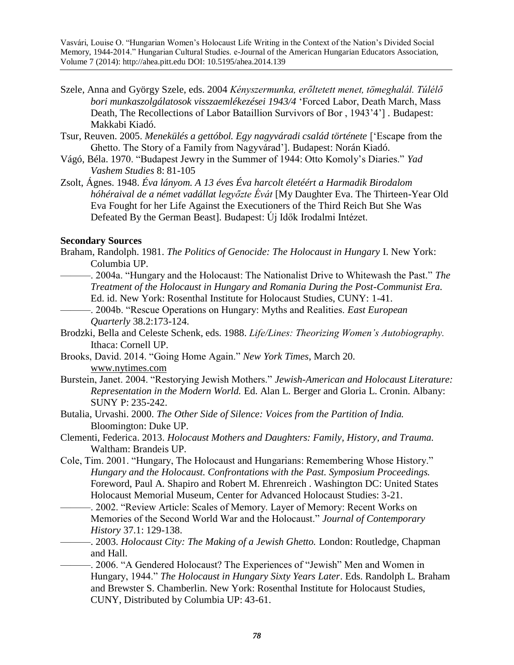- Szele, Anna and György Szele, eds. 2004 *Kényszermunka, erőltetett menet, tömeghalál. Túlélő bori munkaszolgálatosok visszaemlékezései 1943/4* 'Forced Labor, Death March, Mass Death, The Recollections of Labor Bataillion Survivors of Bor , 1943'4'] *.* Budapest: Makkabi Kiadó.
- Tsur, Reuven. 2005. *Menekülés a gettóbol. Egy nagyváradi család története* ['Escape from the Ghetto. The Story of a Family from Nagyvárad']*.* Budapest: Norán Kiadó.
- Vágó, Béla. 1970. "Budapest Jewry in the Summer of 1944: Otto Komoly's Diaries." *Yad Vashem Studies* 8: 81-105
- Zsolt, Ágnes. 1948. *Éva lányom. A 13 éves Éva harcolt életéért a Harmadik Birodalom hóhéraival de a német vadállat legyőzte Évát* [My Daughter Eva. The Thirteen-Year Old Eva Fought for her Life Against the Executioners of the Third Reich But She Was Defeated By the German Beast]. Budapest: Új Idők Irodalmi Intézet.

#### **Secondary Sources**

- Braham, Randolph. 1981. *The Politics of Genocide: The Holocaust in Hungary* I. New York: Columbia UP.
- ———. 2004a. "Hungary and the Holocaust: The Nationalist Drive to Whitewash the Past." *The Treatment of the Holocaust in Hungary and Romania During the Post-Communist Era.* Ed. id. New York: Rosenthal Institute for Holocaust Studies, CUNY: 1-41.
- ———. 2004b. "Rescue Operations on Hungary: Myths and Realities. *East European Quarterly* 38.2:173-124.
- Brodzki, Bella and Celeste Schenk, eds. 1988. *Life/Lines: Theorizing Women's Autobiography.*  Ithaca: Cornell UP.
- Brooks, David. 2014. "Going Home Again." *New York Times*, March 20. [www.nytimes.com](http://www.nytimes.com/)
- Burstein, Janet. 2004. "Restorying Jewish Mothers." *Jewish-American and Holocaust Literature: Representation in the Modern World.* Ed. Alan L. Berger and Gloria L. Cronin. Albany: SUNY P: 235-242.
- Butalia, Urvashi. 2000. *The Other Side of Silence: Voices from the Partition of India.* Bloomington: Duke UP.
- Clementi, Federica. 2013. *Holocaust Mothers and Daughters: Family, History, and Trauma.*  Waltham: Brandeis UP.
- Cole, Tim. 2001. "Hungary, The Holocaust and Hungarians: Remembering Whose History." *Hungary and the Holocaust. Confrontations with the Past. Symposium Proceedings.*  Foreword, Paul A. Shapiro and Robert M. Ehrenreich . Washington DC: United States Holocaust Memorial Museum, Center for Advanced Holocaust Studies: 3-21.
	- ———. 2002. "Review Article: Scales of Memory. Layer of Memory: Recent Works on Memories of the Second World War and the Holocaust." *Journal of Contemporary History* 37.1: 129-138.
- ———. 2003. *Holocaust City: The Making of a Jewish Ghetto.* London: Routledge, Chapman and Hall.
	- -. 2006. "A Gendered Holocaust? The Experiences of "Jewish" Men and Women in Hungary, 1944." *The Holocaust in Hungary Sixty Years Later*. Eds. Randolph L. Braham and Brewster S. Chamberlin. New York: Rosenthal Institute for Holocaust Studies, CUNY, Distributed by Columbia UP: 43-61.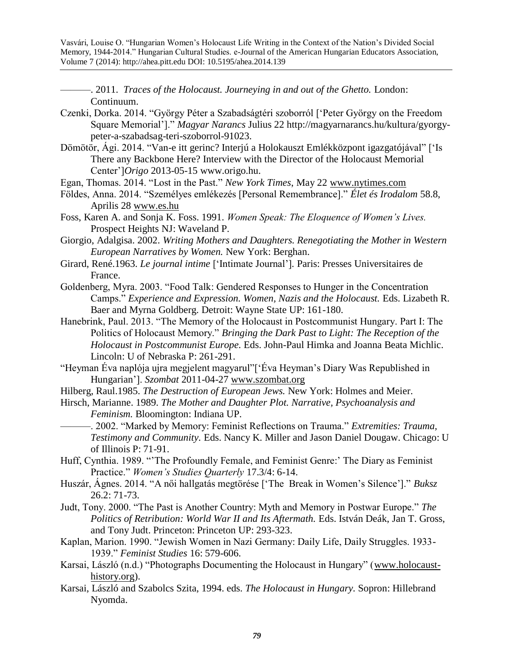———. 2011. *Traces of the Holocaust. Journeying in and out of the Ghetto.* London: Continuum.

- Czenki, Dorka. 2014. "György Péter a Szabadságtéri szoborról ['Peter György on the Freedom Square Memorial']." *Magyar Narancs* Julius 22 [http://magyarnarancs.hu/kultura/gyorgy](http://magyarnarancs.hu/kultura/gyorgy-peter-a-szabadsag-teri-szoborrol-91023)[peter-a-szabadsag-teri-szoborrol-91023.](http://magyarnarancs.hu/kultura/gyorgy-peter-a-szabadsag-teri-szoborrol-91023)
- Dömötör, Ági. 2014. "Van-e itt gerinc? Interjú a Holokauszt Emlékközpont igazgatójával" ['Is There any Backbone Here? Interview with the Director of the Holocaust Memorial Center']*Origo* 2013-05-15 [www.origo.hu.](http://www.origo.hu/)
- Egan, Thomas. 2014. "Lost in the Past." *New York Times*, May 22 [www.nytimes.com](http://www.nytimes.com/)
- Földes, Anna. 2014. "Személyes emlékezés [Personal Remembrance]." *Élet és Irodalom* 58.8, Aprilis 28 [www.es.hu](http://www.es.hu/)
- Foss, Karen A. and Sonja K. Foss. 1991. *Women Speak: The Eloquence of Women's Lives.*  Prospect Heights NJ: Waveland P.

Giorgio, Adalgisa. 2002. *Writing Mothers and Daughters. Renegotiating the Mother in Western European Narratives by Women.* New York: Berghan.

- Girard, René.1963. *Le journal intime* ['Intimate Journal']*.* Paris: Presses Universitaires de France.
- Goldenberg, Myra. 2003. "Food Talk: Gendered Responses to Hunger in the Concentration Camps." *Experience and Expression. Women, Nazis and the Holocaust.* Eds. Lizabeth R. Baer and Myrna Goldberg. Detroit: Wayne State UP: 161-180.
- Hanebrink, Paul. 2013. "The Memory of the Holocaust in Postcommunist Hungary. Part I: The Politics of Holocaust Memory." *Bringing the Dark Past to Light: The Reception of the Holocaust in Postcommunist Europe.* Eds. John-Paul Himka and Joanna Beata Michlic. Lincoln: U of Nebraska P: 261-291.
- "Heyman Éva naplója ujra megjelent magyarul"['Éva Heyman's Diary Was Republished in Hungarian']. *Szombat* 2011-04-27 [www.szombat.org](http://www.szombat.org/)
- Hilberg, Raul.1985. *The Destruction of European Jews.* New York: Holmes and Meier.
- Hirsch, Marianne. 1989. *The Mother and Daughter Plot. Narrative, Psychoanalysis and Feminism.* Bloomington: Indiana UP.

———. 2002. "Marked by Memory: Feminist Reflections on Trauma." *Extremities: Trauma, Testimony and Community.* Eds. Nancy K. Miller and Jason Daniel Dougaw. Chicago: U of Illinois P: 71-91.

- Huff, Cynthia. 1989. "'The Profoundly Female, and Feminist Genre:' The Diary as Feminist Practice." *Women's Studies Quarterly* 17.3/4: 6-14.
- Huszár, Ágnes. 2014. "A női hallgatás megtörése ['The Break in Women's Silence']." *Buksz*  26.2: 71-73.
- Judt, Tony. 2000. "The Past is Another Country: Myth and Memory in Postwar Europe." *The*  Politics of Retribution: World War II and Its Aftermath. Eds. István Deák, Jan T. Gross, and Tony Judt. Princeton: Princeton UP: 293-323.
- Kaplan, Marion. 1990. "Jewish Women in Nazi Germany: Daily Life, Daily Struggles. 1933- 1939." *Feminist Studies* 16: 579-606.
- Karsai, László (n.d.) "Photographs Documenting the Holocaust in Hungary" [\(www.holocaust](http://www.holocaust-history.org/)[history.org\)](http://www.holocaust-history.org/).
- Karsai, László and Szabolcs Szita, 1994. eds. *The Holocaust in Hungary.* Sopron: Hillebrand Nyomda.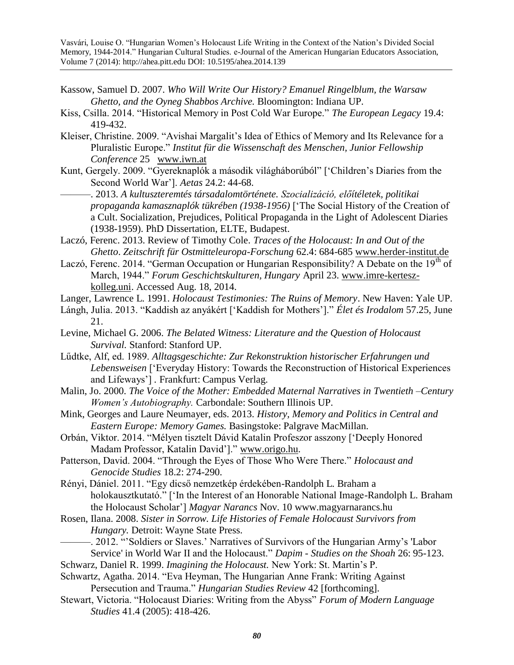- Kassow, Samuel D. 2007. *Who Will Write Our History? Emanuel Ringelblum, the Warsaw Ghetto, and the Oyneg Shabbos Archive.* Bloomington: Indiana UP.
- Kiss, Csilla. 2014. "Historical Memory in Post Cold War Europe." *The European Legacy* 19.4: 419-432.
- Kleiser, Christine. 2009. "Avishai Margalit's Idea of Ethics of Memory and Its Relevance for a Pluralistic Europe." *Institut für die Wissenschaft des Menschen, Junior Fellowship Conference* 25 [www.iwn.at](http://www.iwn.at/)
- Kunt, Gergely. 2009. "Gyereknaplók a második világháborúból" ['Children's Diaries from the Second World War']. *Aetas* 24.2: 44-68.
- ———. 2013. *A kultuszteremtés társadalomtörténete. Szocializáció, előítéletek, politikai propaganda kamasznaplók tükrében (1938-1956)* ['The Social History of the Creation of a Cult. Socialization, Prejudices, Political Propaganda in the Light of Adolescent Diaries (1938-1959). PhD Dissertation, ELTE, Budapest.
- Laczó, Ferenc. 2013. Review of Timothy Cole. *Traces of the Holocaust: In and Out of the Ghetto*. *Zeitschrift für Ostmitteleuropa-Forschung* 62.4: 684-685 [www.herder-institut.de](http://www.herder-institut.de/)
- Laczó, Ferenc. 2014. "German Occupation or Hungarian Responsibility? A Debate on the  $19<sup>th</sup>$  of March, 1944." *Forum Geschichtskulturen, Hungary* April 23. [www.imre-kertesz](http://www.imre-kertesz-kolleg.uni/)[kolleg.uni.](http://www.imre-kertesz-kolleg.uni/) Accessed Aug. 18, 2014.
- Langer, Lawrence L. 1991. *Holocaust Testimonies: The Ruins of Memory*. New Haven: Yale UP.
- Lángh, Julia. 2013. "Kaddish az anyákért ['Kaddish for Mothers']." *Élet és Irodalom* 57.25, June 21.
- Levine, Michael G. 2006. *The Belated Witness: Literature and the Question of Holocaust Survival.* Stanford: Stanford UP.
- Lűdtke, Alf, ed. 1989. *Alltagsgeschichte: Zur Rekonstruktion historischer Erfahrungen und Lebensweisen* ['Everyday History: Towards the Reconstruction of Historical Experiences and Lifeways'] *.* Frankfurt: Campus Verlag.
- Malin, Jo. 2000. *The Voice of the Mother: Embedded Maternal Narratives in Twentieth –Century Women's Autobiography.* Carbondale: Southern Illinois UP.
- Mink, Georges and Laure Neumayer, eds. 2013. *History, Memory and Politics in Central and Eastern Europe: Memory Games.* Basingstoke: Palgrave MacMillan.
- Orbán, Viktor. 2014. "Mélyen tisztelt Dávid Katalin Profeszor asszony ['Deeply Honored Madam Professor, Katalin David']." [www.origo.hu.](http://www.origo.hu/)
- Patterson, David. 2004. "Through the Eyes of Those Who Were There." *Holocaust and Genocide Studies* 18.2: 274-290.
- Rényi, Dániel. 2011. "Egy dicső nemzetkép érdekében-Randolph L. Braham a holokausztkutató." ['In the Interest of an Honorable National Image-Randolph L. Braham the Holocaust Scholar'] *Magyar Narancs* Nov. 10 [www.magyarnarancs.hu](http://www.magyarnarancs.hu/)
- Rosen, Ilana. 2008. *Sister in Sorrow. Life Histories of Female Holocaust Survivors from Hungary.* Detroit: Wayne State Press.
- -. 2012. "Soldiers or Slaves.' Narratives of Survivors of the Hungarian Army's 'Labor Service' in World War II and the Holocaust." *Dapim - Studies on the Shoah* 26: 95-123.
- Schwarz, Daniel R. 1999. *Imagining the Holocaust.* New York: St. Martin's P.
- Schwartz, Agatha. 2014. "Eva Heyman, The Hungarian Anne Frank: Writing Against Persecution and Trauma." *Hungarian Studies Review* 42 [forthcoming].
- Stewart, Victoria. "Holocaust Diaries: Writing from the Abyss" *Forum of Modern Language Studies* 41.4 (2005): 418-426.